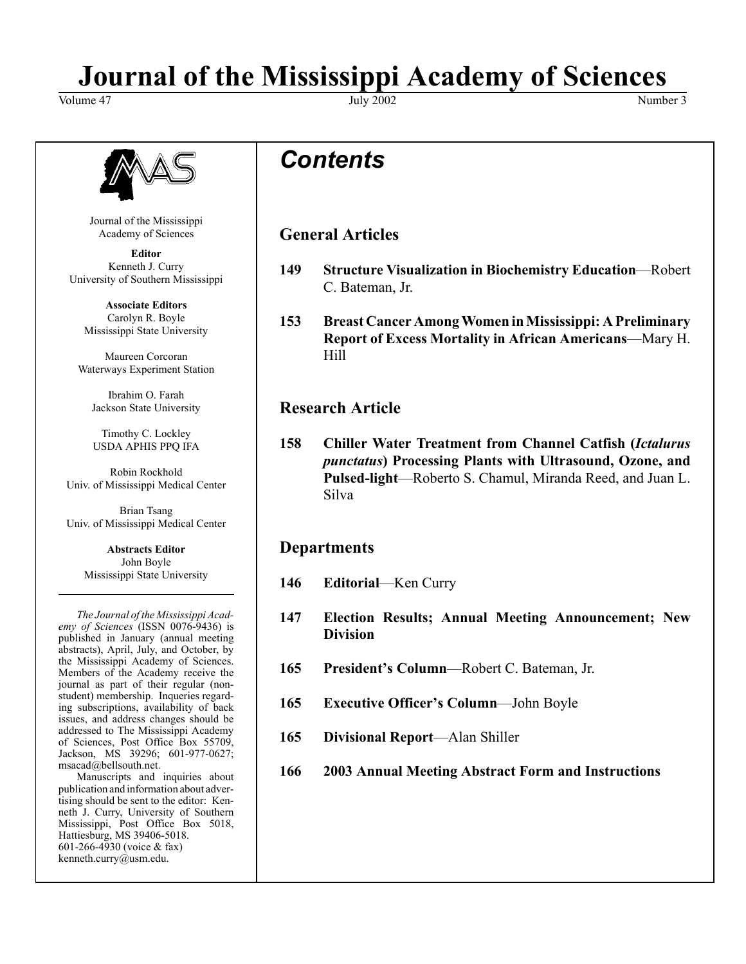# **Journal of the Mississippi Academy of Sciences**

Volume 47 Number 3 Number 3 Number 3 Number 3 Number 3 Number 3 Number 3 Number 3



Journal of the Mississippi Academy of Sciences

**Editor** Kenneth J. Curry University of Southern Mississippi

**Associate Editors** Carolyn R. Boyle Mississippi State University

Maureen Corcoran Waterways Experiment Station

Ibrahim O. Farah Jackson State University

Timothy C. Lockley USDA APHIS PPQ IFA

Robin Rockhold Univ. of Mississippi Medical Center

Brian Tsang Univ. of Mississippi Medical Center

> **Abstracts Editor** John Boyle Mississippi State University

*The Journal of the Mississippi Academy of Sciences* (ISSN 0076-9436) is published in January (annual meeting abstracts), April, July, and October, by the Mississippi Academy of Sciences. Members of the Academy receive the journal as part of their regular (nonstudent) membership. Inqueries regarding subscriptions, availability of back issues, and address changes should be addressed to The Mississippi Academy of Sciences, Post Office Box 55709, Jackson, MS 39296; 601-977-0627; msacad@bellsouth.net.

Manuscripts and inquiries about publication and information about advertising should be sent to the editor: Kenneth J. Curry, University of Southern Mississippi, Post Office Box 5018, Hattiesburg, MS 39406-5018. 601-266-4930 (voice & fax) kenneth.curry@usm.edu.

# *Contents*

# **General Articles**

- **149 Structure Visualization in Biochemistry Education**—Robert C. Bateman, Jr.
- **153 Breast Cancer Among Women in Mississippi: A Preliminary Report of Excess Mortality in African Americans**—Mary H. Hill

# **Research Article**

**158 Chiller Water Treatment from Channel Catfish (***Ictalurus punctatus***) Processing Plants with Ultrasound, Ozone, and Pulsed-light**—Roberto S. Chamul, Miranda Reed, and Juan L. Silva

# **Departments**

- **146 Editorial**—Ken Curry
- **147 Election Results; Annual Meeting Announcement; New Division**
- **165 President's Column**—Robert C. Bateman, Jr.
- **165 Executive Officer's Column**—John Boyle
- **165 Divisional Report**—Alan Shiller
- **166 2003 Annual Meeting Abstract Form and Instructions**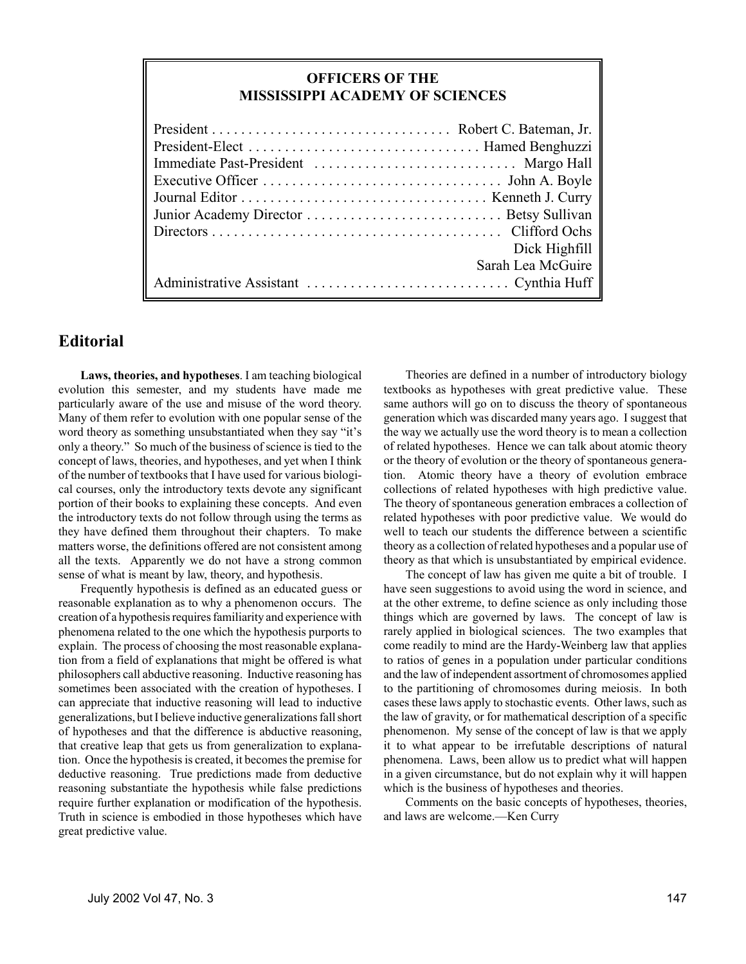### **OFFICERS OF THE MISSISSIPPI ACADEMY OF SCIENCES**

| Immediate Past-President  Margo Hall |                   |
|--------------------------------------|-------------------|
|                                      |                   |
|                                      |                   |
|                                      |                   |
|                                      |                   |
|                                      | Dick Highfill     |
|                                      | Sarah Lea McGuire |
|                                      |                   |

# **Editorial**

**Laws, theories, and hypotheses**. I am teaching biological evolution this semester, and my students have made me particularly aware of the use and misuse of the word theory. Many of them refer to evolution with one popular sense of the word theory as something unsubstantiated when they say "it's only a theory." So much of the business of science is tied to the concept of laws, theories, and hypotheses, and yet when I think of the number of textbooks that I have used for various biological courses, only the introductory texts devote any significant portion of their books to explaining these concepts. And even the introductory texts do not follow through using the terms as they have defined them throughout their chapters. To make matters worse, the definitions offered are not consistent among all the texts. Apparently we do not have a strong common sense of what is meant by law, theory, and hypothesis.

Frequently hypothesis is defined as an educated guess or reasonable explanation as to why a phenomenon occurs. The creation of a hypothesis requires familiarity and experience with phenomena related to the one which the hypothesis purports to explain. The process of choosing the most reasonable explanation from a field of explanations that might be offered is what philosophers call abductive reasoning. Inductive reasoning has sometimes been associated with the creation of hypotheses. I can appreciate that inductive reasoning will lead to inductive generalizations, but I believe inductive generalizations fall short of hypotheses and that the difference is abductive reasoning, that creative leap that gets us from generalization to explanation. Once the hypothesis is created, it becomes the premise for deductive reasoning. True predictions made from deductive reasoning substantiate the hypothesis while false predictions require further explanation or modification of the hypothesis. Truth in science is embodied in those hypotheses which have great predictive value.

Theories are defined in a number of introductory biology textbooks as hypotheses with great predictive value. These same authors will go on to discuss the theory of spontaneous generation which was discarded many years ago. I suggest that the way we actually use the word theory is to mean a collection of related hypotheses. Hence we can talk about atomic theory or the theory of evolution or the theory of spontaneous generation. Atomic theory have a theory of evolution embrace collections of related hypotheses with high predictive value. The theory of spontaneous generation embraces a collection of related hypotheses with poor predictive value. We would do well to teach our students the difference between a scientific theory as a collection of related hypotheses and a popular use of theory as that which is unsubstantiated by empirical evidence.

The concept of law has given me quite a bit of trouble. I have seen suggestions to avoid using the word in science, and at the other extreme, to define science as only including those things which are governed by laws. The concept of law is rarely applied in biological sciences. The two examples that come readily to mind are the Hardy-Weinberg law that applies to ratios of genes in a population under particular conditions and the law of independent assortment of chromosomes applied to the partitioning of chromosomes during meiosis. In both cases these laws apply to stochastic events. Other laws, such as the law of gravity, or for mathematical description of a specific phenomenon. My sense of the concept of law is that we apply it to what appear to be irrefutable descriptions of natural phenomena. Laws, been allow us to predict what will happen in a given circumstance, but do not explain why it will happen which is the business of hypotheses and theories.

Comments on the basic concepts of hypotheses, theories, and laws are welcome.—Ken Curry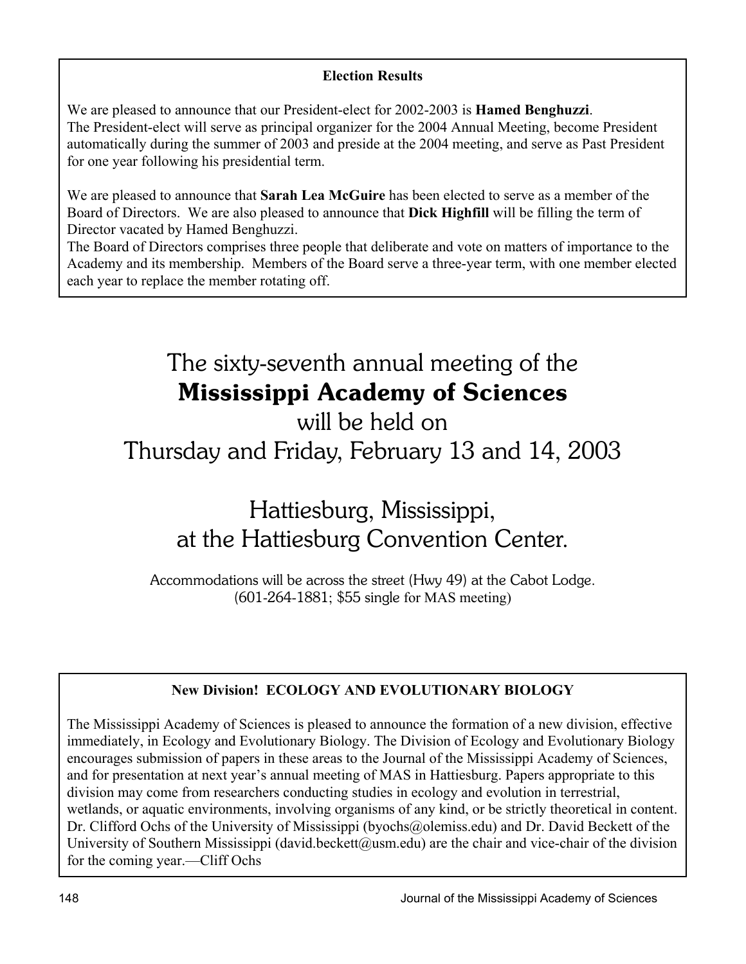# **Election Results**

We are pleased to announce that our President-elect for 2002-2003 is **Hamed Benghuzzi**. The President-elect will serve as principal organizer for the 2004 Annual Meeting, become President automatically during the summer of 2003 and preside at the 2004 meeting, and serve as Past President for one year following his presidential term.

We are pleased to announce that **Sarah Lea McGuire** has been elected to serve as a member of the Board of Directors. We are also pleased to announce that **Dick Highfill** will be filling the term of Director vacated by Hamed Benghuzzi.

The Board of Directors comprises three people that deliberate and vote on matters of importance to the Academy and its membership. Members of the Board serve a three-year term, with one member elected each year to replace the member rotating off.

# The sixty-seventh annual meeting of the Mississippi Academy of Sciences

will be held on

Thursday and Friday, February 13 and 14, 2003

# Hattiesburg, Mississippi, at the Hattiesburg Convention Center.

Accommodations will be across the street (Hwy 49) at the Cabot Lodge. (601-264-1881; \$55 single for MAS meeting)

# **New Division! ECOLOGY AND EVOLUTIONARY BIOLOGY**

The Mississippi Academy of Sciences is pleased to announce the formation of a new division, effective immediately, in Ecology and Evolutionary Biology. The Division of Ecology and Evolutionary Biology encourages submission of papers in these areas to the Journal of the Mississippi Academy of Sciences, and for presentation at next year's annual meeting of MAS in Hattiesburg. Papers appropriate to this division may come from researchers conducting studies in ecology and evolution in terrestrial, wetlands, or aquatic environments, involving organisms of any kind, or be strictly theoretical in content. Dr. Clifford Ochs of the University of Mississippi (byochs@olemiss.edu) and Dr. David Beckett of the University of Southern Mississippi (david.beckett@usm.edu) are the chair and vice-chair of the division for the coming year.—Cliff Ochs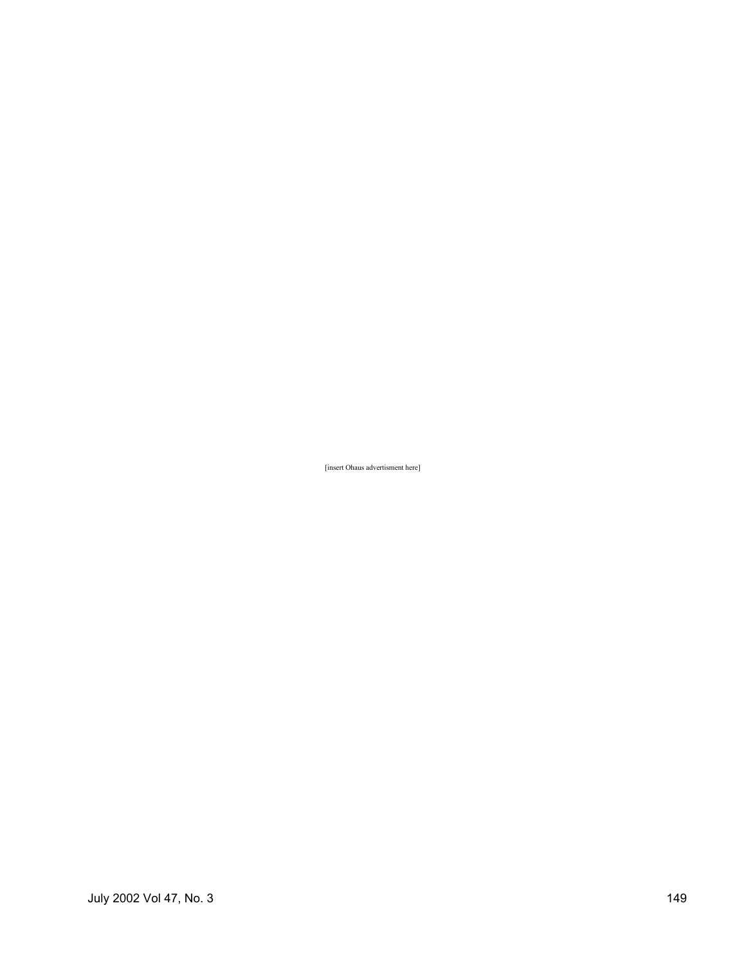[insert Ohaus advertisment here]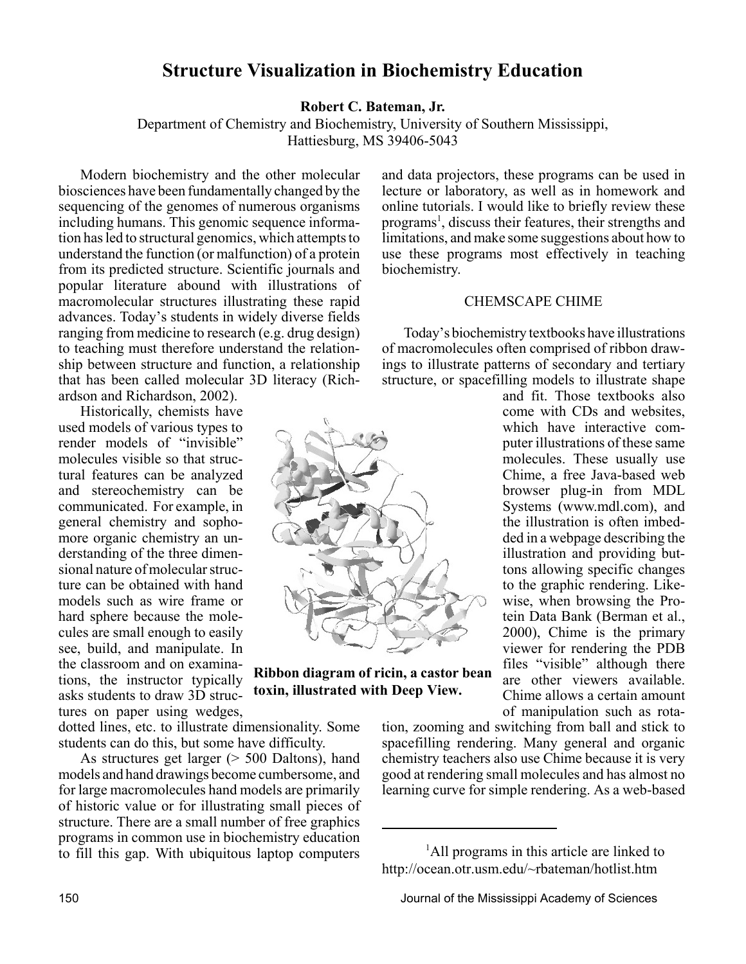# **Structure Visualization in Biochemistry Education**

**Robert C. Bateman, Jr.**

Department of Chemistry and Biochemistry, University of Southern Mississippi, Hattiesburg, MS 39406-5043

Modern biochemistry and the other molecular biosciences have been fundamentally changed by the sequencing of the genomes of numerous organisms including humans. This genomic sequence information has led to structural genomics, which attempts to understand the function (or malfunction) of a protein from its predicted structure. Scientific journals and popular literature abound with illustrations of macromolecular structures illustrating these rapid advances. Today's students in widely diverse fields ranging from medicine to research (e.g. drug design) to teaching must therefore understand the relationship between structure and function, a relationship that has been called molecular 3D literacy (Richardson and Richardson, 2002).

Historically, chemists have used models of various types to render models of "invisible" molecules visible so that structural features can be analyzed and stereochemistry can be communicated. For example, in general chemistry and sophomore organic chemistry an understanding of the three dimensional nature of molecular structure can be obtained with hand models such as wire frame or hard sphere because the molecules are small enough to easily see, build, and manipulate. In the classroom and on examinations, the instructor typically asks students to draw 3D structures on paper using wedges,

dotted lines, etc. to illustrate dimensionality. Some students can do this, but some have difficulty.

As structures get larger (> 500 Daltons), hand models and hand drawings become cumbersome, and for large macromolecules hand models are primarily of historic value or for illustrating small pieces of structure. There are a small number of free graphics programs in common use in biochemistry education to fill this gap. With ubiquitous laptop computers and data projectors, these programs can be used in lecture or laboratory, as well as in homework and online tutorials. I would like to briefly review these programs<sup>1</sup>, discuss their features, their strengths and limitations, and make some suggestions about how to use these programs most effectively in teaching biochemistry.

# CHEMSCAPE CHIME

Today's biochemistry textbooks have illustrations of macromolecules often comprised of ribbon drawings to illustrate patterns of secondary and tertiary structure, or spacefilling models to illustrate shape



**Ribbon diagram of ricin, a castor bean toxin, illustrated with Deep View.**

and fit. Those textbooks also come with CDs and websites which have interactive computer illustrations of these same molecules. These usually use Chime, a free Java-based web browser plug-in from MDL Systems (www.mdl.com), and the illustration is often imbedded in a webpage describing the illustration and providing buttons allowing specific changes to the graphic rendering. Likewise, when browsing the Protein Data Bank (Berman et al., 2000), Chime is the primary viewer for rendering the PDB files "visible" although there are other viewers available. Chime allows a certain amount of manipulation such as rota-

tion, zooming and switching from ball and stick to spacefilling rendering. Many general and organic chemistry teachers also use Chime because it is very good at rendering small molecules and has almost no learning curve for simple rendering. As a web-based

<sup>&</sup>lt;sup>1</sup>All programs in this article are linked to http://ocean.otr.usm.edu/~rbateman/hotlist.htm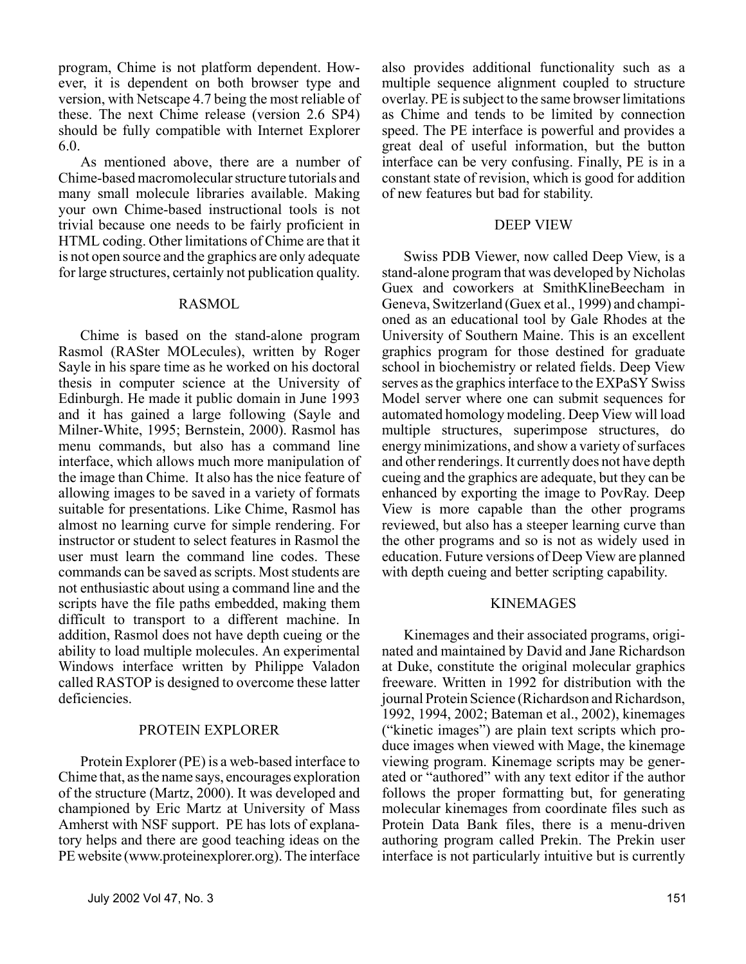program, Chime is not platform dependent. However, it is dependent on both browser type and version, with Netscape 4.7 being the most reliable of these. The next Chime release (version 2.6 SP4) should be fully compatible with Internet Explorer 6.0.

As mentioned above, there are a number of Chime-based macromolecular structure tutorials and many small molecule libraries available. Making your own Chime-based instructional tools is not trivial because one needs to be fairly proficient in HTML coding. Other limitations of Chime are that it is not open source and the graphics are only adequate for large structures, certainly not publication quality.

#### RASMOL

Chime is based on the stand-alone program Rasmol (RASter MOLecules), written by Roger Sayle in his spare time as he worked on his doctoral thesis in computer science at the University of Edinburgh. He made it public domain in June 1993 and it has gained a large following (Sayle and Milner-White, 1995; Bernstein, 2000). Rasmol has menu commands, but also has a command line interface, which allows much more manipulation of the image than Chime. It also has the nice feature of allowing images to be saved in a variety of formats suitable for presentations. Like Chime, Rasmol has almost no learning curve for simple rendering. For instructor or student to select features in Rasmol the user must learn the command line codes. These commands can be saved as scripts. Most students are not enthusiastic about using a command line and the scripts have the file paths embedded, making them difficult to transport to a different machine. In addition, Rasmol does not have depth cueing or the ability to load multiple molecules. An experimental Windows interface written by Philippe Valadon called RASTOP is designed to overcome these latter deficiencies.

#### PROTEIN EXPLORER

Protein Explorer (PE) is a web-based interface to Chime that, as the name says, encourages exploration of the structure (Martz, 2000). It was developed and championed by Eric Martz at University of Mass Amherst with NSF support. PE has lots of explanatory helps and there are good teaching ideas on the PE website (www.proteinexplorer.org). The interface

also provides additional functionality such as a multiple sequence alignment coupled to structure overlay. PE is subject to the same browser limitations as Chime and tends to be limited by connection speed. The PE interface is powerful and provides a great deal of useful information, but the button interface can be very confusing. Finally, PE is in a constant state of revision, which is good for addition of new features but bad for stability.

#### DEEP VIEW

Swiss PDB Viewer, now called Deep View, is a stand-alone program that was developed by Nicholas Guex and coworkers at SmithKlineBeecham in Geneva, Switzerland (Guex et al., 1999) and championed as an educational tool by Gale Rhodes at the University of Southern Maine. This is an excellent graphics program for those destined for graduate school in biochemistry or related fields. Deep View serves as the graphics interface to the EXPaSY Swiss Model server where one can submit sequences for automated homology modeling. Deep View will load multiple structures, superimpose structures, do energy minimizations, and show a variety of surfaces and other renderings. It currently does not have depth cueing and the graphics are adequate, but they can be enhanced by exporting the image to PovRay. Deep View is more capable than the other programs reviewed, but also has a steeper learning curve than the other programs and so is not as widely used in education. Future versions of Deep View are planned with depth cueing and better scripting capability.

#### KINEMAGES

Kinemages and their associated programs, originated and maintained by David and Jane Richardson at Duke, constitute the original molecular graphics freeware. Written in 1992 for distribution with the journal Protein Science (Richardson and Richardson, 1992, 1994, 2002; Bateman et al., 2002), kinemages ("kinetic images") are plain text scripts which produce images when viewed with Mage, the kinemage viewing program. Kinemage scripts may be generated or "authored" with any text editor if the author follows the proper formatting but, for generating molecular kinemages from coordinate files such as Protein Data Bank files, there is a menu-driven authoring program called Prekin. The Prekin user interface is not particularly intuitive but is currently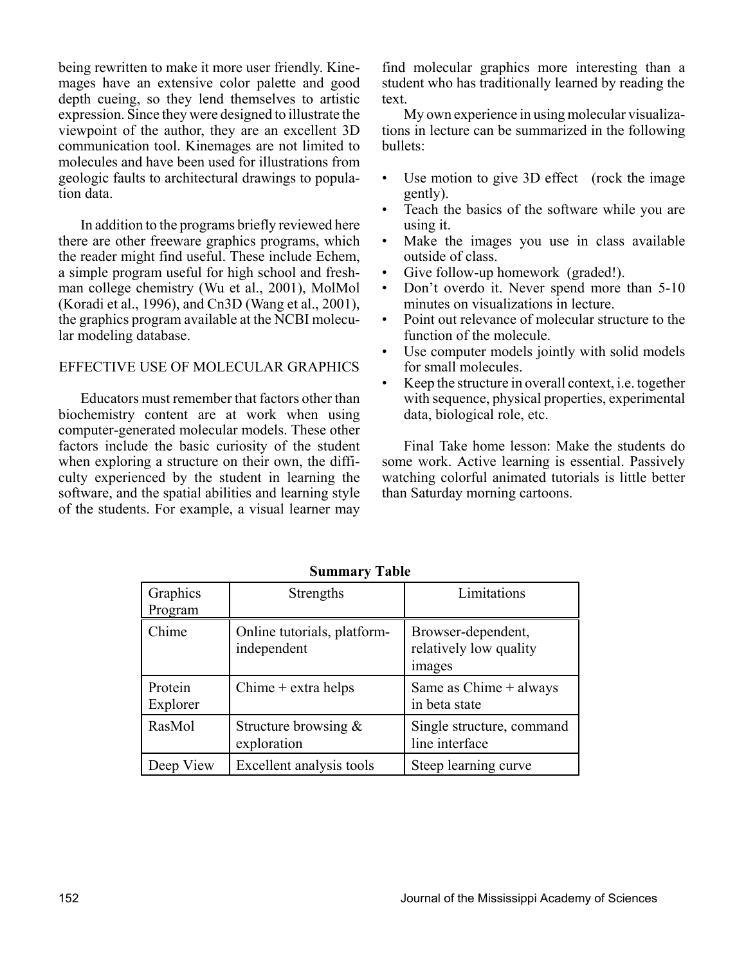being rewritten to make it more user friendly. Kinemages have an extensive color palette and good depth cueing, so they lend themselves to artistic expression. Since they were designed to illustrate the viewpoint of the author, they are an excellent 3D communication tool. Kinemages are not limited to molecules and have been used for illustrations from geologic faults to architectural drawings to population data.

In addition to the programs briefly reviewed here there are other freeware graphics programs, which the reader might find useful. These include Echem, a simple program useful for high school and freshman college chemistry (Wu et al., 2001), MolMol (Koradi et al., 1996), and Cn3D (Wang et al., 2001), the graphics program available at the NCBI molecular modeling database.

#### EFFECTIVE USE OF MOLECULAR GRAPHICS

Educators must remember that factors other than biochemistry content are at work when using computer-generated molecular models. These other factors include the basic curiosity of the student when exploring a structure on their own, the difficulty experienced by the student in learning the software, and the spatial abilities and learning style of the students. For example, a visual learner may

find molecular graphics more interesting than a student who has traditionally learned by reading the text.

My own experience in using molecular visualizations in lecture can be summarized in the following bullets:

- Use motion to give 3D effect (rock the image gently).
- Teach the basics of the software while you are using it.
- Make the images you use in class available outside of class.
- Give follow-up homework (graded!).
- Don't overdo it. Never spend more than 5-10 minutes on visualizations in lecture.
- Point out relevance of molecular structure to the function of the molecule.
- Use computer models jointly with solid models for small molecules.
- Keep the structure in overall context, i.e. together with sequence, physical properties, experimental data, biological role, etc.

Final Take home lesson: Make the students do some work. Active learning is essential. Passively watching colorful animated tutorials is little better than Saturday morning cartoons.

| Graphics<br>Program | Strengths                                  | Limitations                                            |
|---------------------|--------------------------------------------|--------------------------------------------------------|
| Chime               | Online tutorials, platform-<br>independent | Browser-dependent,<br>relatively low quality<br>images |
| Protein<br>Explorer | $Chime + extra helps$                      | Same as Chime + always<br>in beta state                |
| RasMol              | Structure browsing $\&$<br>exploration     | Single structure, command<br>line interface            |
| Deep View           | Excellent analysis tools                   | Steep learning curve                                   |

**Summary Table**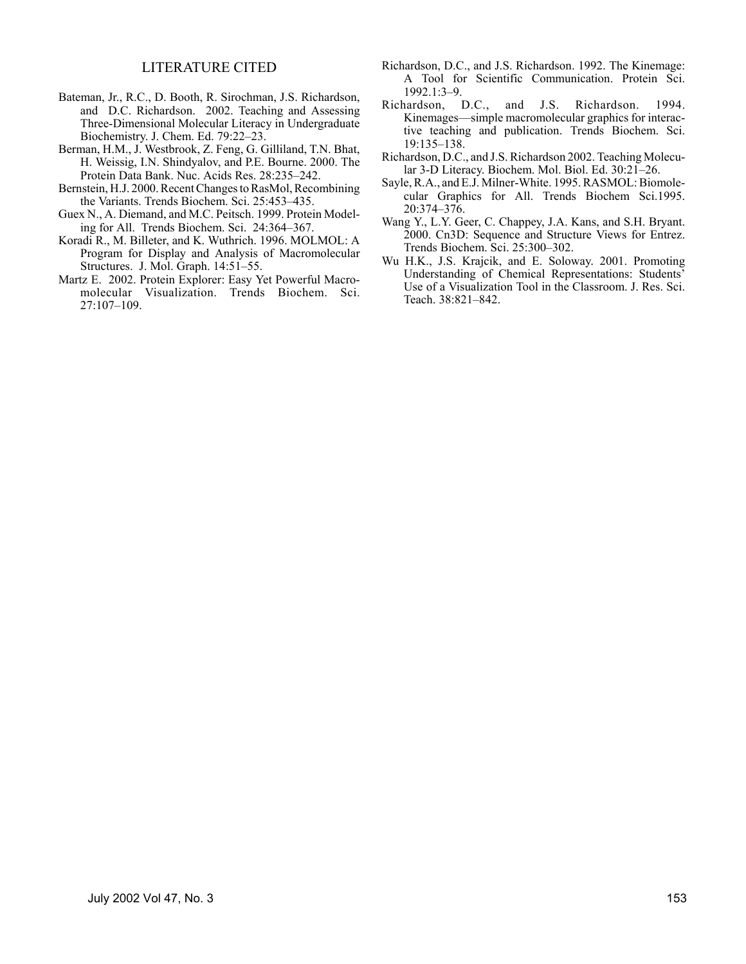#### LITERATURE CITED

- Bateman, Jr., R.C., D. Booth, R. Sirochman, J.S. Richardson, and D.C. Richardson. 2002. Teaching and Assessing Three-Dimensional Molecular Literacy in Undergraduate Biochemistry. J. Chem. Ed. 79:22–23.
- Berman, H.M., J. Westbrook, Z. Feng, G. Gilliland, T.N. Bhat, H. Weissig, I.N. Shindyalov, and P.E. Bourne. 2000. The Protein Data Bank. Nuc. Acids Res. 28:235–242.
- Bernstein, H.J. 2000. Recent Changes to RasMol, Recombining the Variants. Trends Biochem. Sci. 25:453–435.
- Guex N., A. Diemand, and M.C. Peitsch. 1999. Protein Modeling for All. Trends Biochem. Sci. 24:364–367.
- Koradi R., M. Billeter, and K. Wuthrich. 1996. MOLMOL: A Program for Display and Analysis of Macromolecular Structures. J. Mol. Graph. 14:51–55.
- Martz E. 2002. Protein Explorer: Easy Yet Powerful Macromolecular Visualization. Trends Biochem. Sci. 27:107–109.
- Richardson, D.C., and J.S. Richardson. 1992. The Kinemage: A Tool for Scientific Communication. Protein Sci. 1992.1:3–9.
- Richardson, D.C., and J.S. Richardson. 1994. Kinemages—simple macromolecular graphics for interactive teaching and publication. Trends Biochem. Sci. 19:135–138.
- Richardson, D.C., and J.S. Richardson 2002. Teaching Molecular 3-D Literacy. Biochem. Mol. Biol. Ed. 30:21–26.
- Sayle, R.A., and E.J. Milner-White. 1995. RASMOL: Biomolecular Graphics for All. Trends Biochem Sci.1995. 20:374–376.
- Wang Y., L.Y. Geer, C. Chappey, J.A. Kans, and S.H. Bryant. 2000. Cn3D: Sequence and Structure Views for Entrez. Trends Biochem. Sci. 25:300–302.
- Wu H.K., J.S. Krajcik, and E. Soloway. 2001. Promoting Understanding of Chemical Representations: Students' Use of a Visualization Tool in the Classroom. J. Res. Sci. Teach. 38:821–842.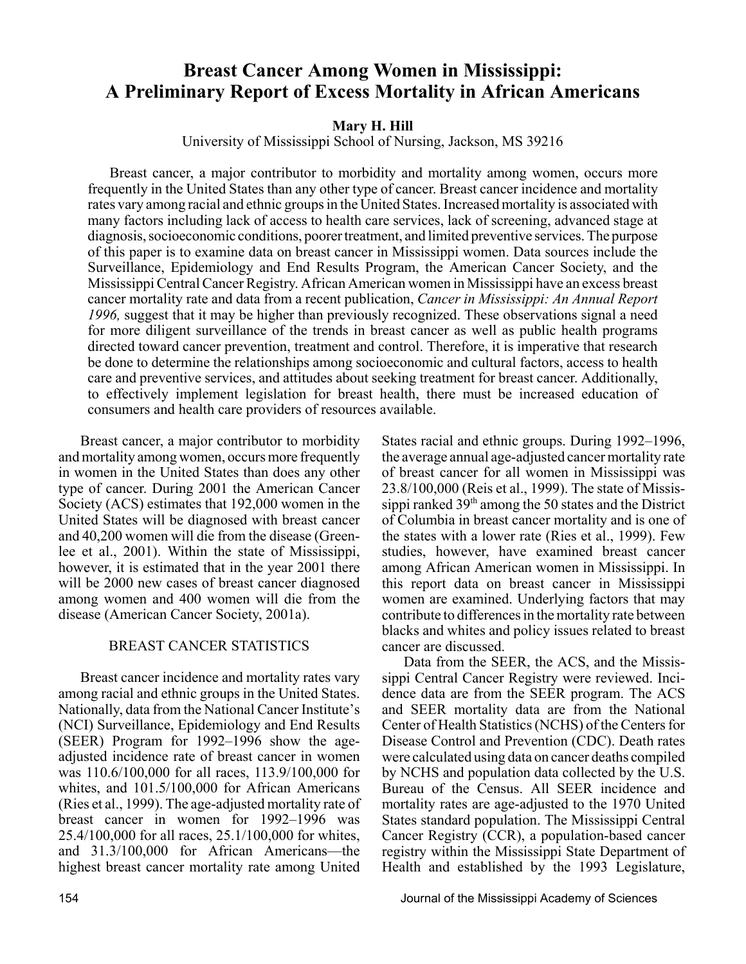# **Breast Cancer Among Women in Mississippi: A Preliminary Report of Excess Mortality in African Americans**

# **Mary H. Hill**

University of Mississippi School of Nursing, Jackson, MS 39216

Breast cancer, a major contributor to morbidity and mortality among women, occurs more frequently in the United States than any other type of cancer. Breast cancer incidence and mortality rates vary among racial and ethnic groups in the United States. Increased mortality is associated with many factors including lack of access to health care services, lack of screening, advanced stage at diagnosis, socioeconomic conditions, poorer treatment, and limited preventive services. The purpose of this paper is to examine data on breast cancer in Mississippi women. Data sources include the Surveillance, Epidemiology and End Results Program, the American Cancer Society, and the Mississippi Central Cancer Registry. African American women in Mississippi have an excess breast cancer mortality rate and data from a recent publication, *Cancer in Mississippi: An Annual Report 1996,* suggest that it may be higher than previously recognized. These observations signal a need for more diligent surveillance of the trends in breast cancer as well as public health programs directed toward cancer prevention, treatment and control. Therefore, it is imperative that research be done to determine the relationships among socioeconomic and cultural factors, access to health care and preventive services, and attitudes about seeking treatment for breast cancer. Additionally, to effectively implement legislation for breast health, there must be increased education of consumers and health care providers of resources available.

Breast cancer, a major contributor to morbidity and mortality among women, occurs more frequently in women in the United States than does any other type of cancer. During 2001 the American Cancer Society (ACS) estimates that 192,000 women in the United States will be diagnosed with breast cancer and 40,200 women will die from the disease (Greenlee et al., 2001). Within the state of Mississippi, however, it is estimated that in the year 2001 there will be 2000 new cases of breast cancer diagnosed among women and 400 women will die from the disease (American Cancer Society, 2001a).

## BREAST CANCER STATISTICS

Breast cancer incidence and mortality rates vary among racial and ethnic groups in the United States. Nationally, data from the National Cancer Institute's (NCI) Surveillance, Epidemiology and End Results (SEER) Program for 1992–1996 show the ageadjusted incidence rate of breast cancer in women was 110.6/100,000 for all races, 113.9/100,000 for whites, and 101.5/100,000 for African Americans (Ries et al., 1999). The age-adjusted mortality rate of breast cancer in women for 1992–1996 was 25.4/100,000 for all races, 25.1/100,000 for whites, and 31.3/100,000 for African Americans—the highest breast cancer mortality rate among United

States racial and ethnic groups. During 1992–1996, the average annual age-adjusted cancer mortality rate of breast cancer for all women in Mississippi was 23.8/100,000 (Reis et al., 1999). The state of Mississippi ranked 39<sup>th</sup> among the 50 states and the District of Columbia in breast cancer mortality and is one of the states with a lower rate (Ries et al., 1999). Few studies, however, have examined breast cancer among African American women in Mississippi. In this report data on breast cancer in Mississippi women are examined. Underlying factors that may contribute to differences in the mortality rate between blacks and whites and policy issues related to breast cancer are discussed.

Data from the SEER, the ACS, and the Mississippi Central Cancer Registry were reviewed. Incidence data are from the SEER program. The ACS and SEER mortality data are from the National Center of Health Statistics (NCHS) of the Centers for Disease Control and Prevention (CDC). Death rates were calculated using data on cancer deaths compiled by NCHS and population data collected by the U.S. Bureau of the Census. All SEER incidence and mortality rates are age-adjusted to the 1970 United States standard population. The Mississippi Central Cancer Registry (CCR), a population-based cancer registry within the Mississippi State Department of Health and established by the 1993 Legislature,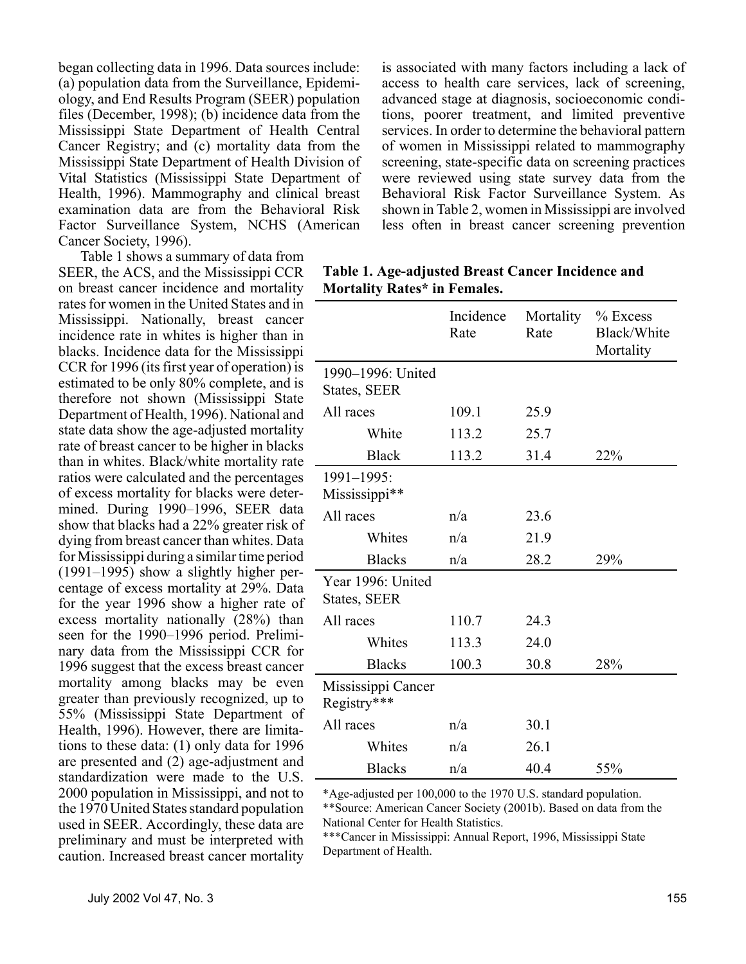began collecting data in 1996. Data sources include: (a) population data from the Surveillance, Epidemiology, and End Results Program (SEER) population files (December, 1998); (b) incidence data from the Mississippi State Department of Health Central Cancer Registry; and (c) mortality data from the Mississippi State Department of Health Division of Vital Statistics (Mississippi State Department of Health, 1996). Mammography and clinical breast examination data are from the Behavioral Risk Factor Surveillance System, NCHS (American Cancer Society, 1996).

Table 1 shows a summary of data from SEER, the ACS, and the Mississippi CCR on breast cancer incidence and mortality rates for women in the United States and in Mississippi. Nationally, breast cancer incidence rate in whites is higher than in blacks. Incidence data for the Mississippi CCR for 1996 (its first year of operation) is estimated to be only 80% complete, and is therefore not shown (Mississippi State Department of Health, 1996). National and state data show the age-adjusted mortality rate of breast cancer to be higher in blacks than in whites. Black/white mortality rate ratios were calculated and the percentages of excess mortality for blacks were determined. During 1990–1996, SEER data show that blacks had a 22% greater risk of dying from breast cancer than whites. Data for Mississippi during a similar time period (1991–1995) show a slightly higher percentage of excess mortality at 29%. Data for the year 1996 show a higher rate of excess mortality nationally (28%) than seen for the 1990–1996 period. Preliminary data from the Mississippi CCR for 1996 suggest that the excess breast cancer mortality among blacks may be even greater than previously recognized, up to 55% (Mississippi State Department of Health, 1996). However, there are limitations to these data: (1) only data for 1996 are presented and (2) age-adjustment and standardization were made to the U.S. 2000 population in Mississippi, and not to the 1970 United States standard population used in SEER. Accordingly, these data are preliminary and must be interpreted with caution. Increased breast cancer mortality is associated with many factors including a lack of access to health care services, lack of screening, advanced stage at diagnosis, socioeconomic conditions, poorer treatment, and limited preventive services. In order to determine the behavioral pattern of women in Mississippi related to mammography screening, state-specific data on screening practices were reviewed using state survey data from the Behavioral Risk Factor Surveillance System. As shown in Table 2, women in Mississippi are involved less often in breast cancer screening prevention

**Table 1. Age-adjusted Breast Cancer Incidence and Mortality Rates\* in Females.**

|                                   | Incidence<br>Rate | Mortality<br>Rate | $%$ Excess<br>Black/White<br>Mortality |
|-----------------------------------|-------------------|-------------------|----------------------------------------|
| 1990–1996: United<br>States, SEER |                   |                   |                                        |
| All races                         | 109.1             | 25.9              |                                        |
| White                             | 113.2             | 25.7              |                                        |
| <b>Black</b>                      | 113.2             | 31.4              | 22%                                    |
| 1991-1995:<br>Mississippi**       |                   |                   |                                        |
| All races                         | n/a               | 23.6              |                                        |
| Whites                            | n/a               | 21.9              |                                        |
| <b>Blacks</b>                     | n/a               | 28.2              | 29%                                    |
| Year 1996: United<br>States, SEER |                   |                   |                                        |
| All races                         | 110.7             | 24.3              |                                        |
| Whites                            | 113.3             | 24.0              |                                        |
| <b>Blacks</b>                     | 100.3             | 30.8              | 28%                                    |
| Mississippi Cancer<br>Registry*** |                   |                   |                                        |
| All races                         | n/a               | 30.1              |                                        |
| Whites                            | n/a               | 26.1              |                                        |
| <b>Blacks</b>                     | n/a               | 40.4              | 55%                                    |

\*Age-adjusted per 100,000 to the 1970 U.S. standard population. \*\*Source: American Cancer Society (2001b). Based on data from the National Center for Health Statistics.

\*\*\*Cancer in Mississippi: Annual Report, 1996, Mississippi State Department of Health.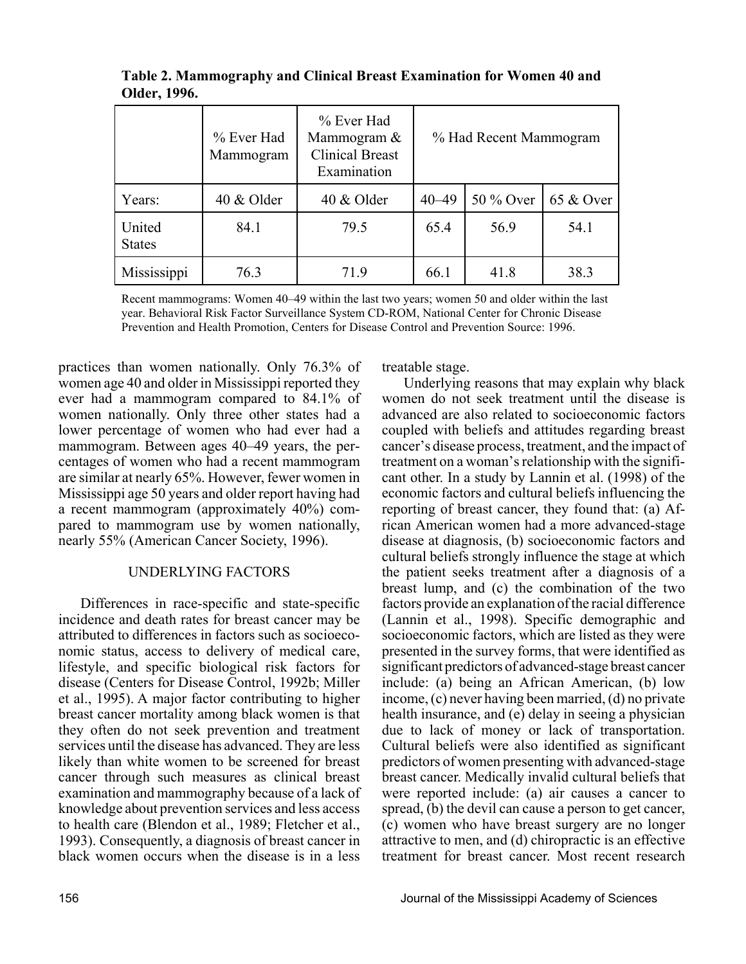|                         | % Ever Had<br>Mammogram | % Ever Had<br>Mammogram &<br><b>Clinical Breast</b><br>Examination | % Had Recent Mammogram |           |           |
|-------------------------|-------------------------|--------------------------------------------------------------------|------------------------|-----------|-----------|
| Years:                  | 40 & Older              | 40 & Older                                                         | $40 - 49$              | 50 % Over | 65 & Over |
| United<br><b>States</b> | 84.1                    | 79.5                                                               | 65.4                   | 56.9      | 54.1      |
| Mississippi             | 76.3                    | 719                                                                | 66.1                   | 41.8      | 38.3      |

**Table 2. Mammography and Clinical Breast Examination for Women 40 and Older, 1996.**

Recent mammograms: Women 40–49 within the last two years; women 50 and older within the last year. Behavioral Risk Factor Surveillance System CD-ROM, National Center for Chronic Disease Prevention and Health Promotion, Centers for Disease Control and Prevention Source: 1996.

practices than women nationally. Only 76.3% of women age 40 and older in Mississippi reported they ever had a mammogram compared to 84.1% of women nationally. Only three other states had a lower percentage of women who had ever had a mammogram. Between ages 40–49 years, the percentages of women who had a recent mammogram are similar at nearly 65%. However, fewer women in Mississippi age 50 years and older report having had a recent mammogram (approximately 40%) compared to mammogram use by women nationally, nearly 55% (American Cancer Society, 1996).

## UNDERLYING FACTORS

Differences in race-specific and state-specific incidence and death rates for breast cancer may be attributed to differences in factors such as socioeconomic status, access to delivery of medical care, lifestyle, and specific biological risk factors for disease (Centers for Disease Control, 1992b; Miller et al., 1995). A major factor contributing to higher breast cancer mortality among black women is that they often do not seek prevention and treatment services until the disease has advanced. They are less likely than white women to be screened for breast cancer through such measures as clinical breast examination and mammography because of a lack of knowledge about prevention services and less access to health care (Blendon et al., 1989; Fletcher et al., 1993). Consequently, a diagnosis of breast cancer in black women occurs when the disease is in a less

treatable stage.

Underlying reasons that may explain why black women do not seek treatment until the disease is advanced are also related to socioeconomic factors coupled with beliefs and attitudes regarding breast cancer's disease process, treatment, and the impact of treatment on a woman's relationship with the significant other. In a study by Lannin et al. (1998) of the economic factors and cultural beliefs influencing the reporting of breast cancer, they found that: (a) African American women had a more advanced-stage disease at diagnosis, (b) socioeconomic factors and cultural beliefs strongly influence the stage at which the patient seeks treatment after a diagnosis of a breast lump, and (c) the combination of the two factors provide an explanation of the racial difference (Lannin et al., 1998). Specific demographic and socioeconomic factors, which are listed as they were presented in the survey forms, that were identified as significant predictors of advanced-stage breast cancer include: (a) being an African American, (b) low income, (c) never having been married, (d) no private health insurance, and (e) delay in seeing a physician due to lack of money or lack of transportation. Cultural beliefs were also identified as significant predictors of women presenting with advanced-stage breast cancer. Medically invalid cultural beliefs that were reported include: (a) air causes a cancer to spread, (b) the devil can cause a person to get cancer, (c) women who have breast surgery are no longer attractive to men, and (d) chiropractic is an effective treatment for breast cancer. Most recent research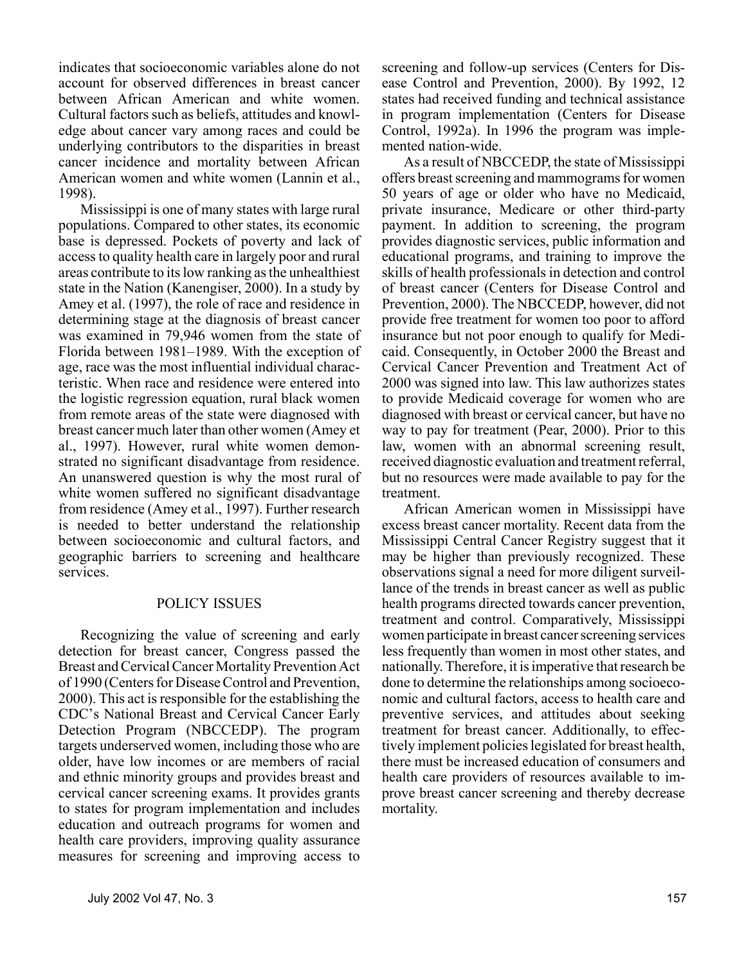indicates that socioeconomic variables alone do not account for observed differences in breast cancer between African American and white women. Cultural factors such as beliefs, attitudes and knowledge about cancer vary among races and could be underlying contributors to the disparities in breast cancer incidence and mortality between African American women and white women (Lannin et al., 1998).

Mississippi is one of many states with large rural populations. Compared to other states, its economic base is depressed. Pockets of poverty and lack of access to quality health care in largely poor and rural areas contribute to its low ranking as the unhealthiest state in the Nation (Kanengiser, 2000). In a study by Amey et al. (1997), the role of race and residence in determining stage at the diagnosis of breast cancer was examined in 79,946 women from the state of Florida between 1981–1989. With the exception of age, race was the most influential individual characteristic. When race and residence were entered into the logistic regression equation, rural black women from remote areas of the state were diagnosed with breast cancer much later than other women (Amey et al., 1997). However, rural white women demonstrated no significant disadvantage from residence. An unanswered question is why the most rural of white women suffered no significant disadvantage from residence (Amey et al., 1997). Further research is needed to better understand the relationship between socioeconomic and cultural factors, and geographic barriers to screening and healthcare services.

#### POLICY ISSUES

Recognizing the value of screening and early detection for breast cancer, Congress passed the Breast and Cervical Cancer Mortality Prevention Act of 1990 (Centers for Disease Control and Prevention, 2000). This act is responsible for the establishing the CDC's National Breast and Cervical Cancer Early Detection Program (NBCCEDP). The program targets underserved women, including those who are older, have low incomes or are members of racial and ethnic minority groups and provides breast and cervical cancer screening exams. It provides grants to states for program implementation and includes education and outreach programs for women and health care providers, improving quality assurance measures for screening and improving access to screening and follow-up services (Centers for Disease Control and Prevention, 2000). By 1992, 12 states had received funding and technical assistance in program implementation (Centers for Disease Control, 1992a). In 1996 the program was implemented nation-wide.

As a result of NBCCEDP, the state of Mississippi offers breast screening and mammograms for women 50 years of age or older who have no Medicaid, private insurance, Medicare or other third-party payment. In addition to screening, the program provides diagnostic services, public information and educational programs, and training to improve the skills of health professionals in detection and control of breast cancer (Centers for Disease Control and Prevention, 2000). The NBCCEDP, however, did not provide free treatment for women too poor to afford insurance but not poor enough to qualify for Medicaid. Consequently, in October 2000 the Breast and Cervical Cancer Prevention and Treatment Act of 2000 was signed into law. This law authorizes states to provide Medicaid coverage for women who are diagnosed with breast or cervical cancer, but have no way to pay for treatment (Pear, 2000). Prior to this law, women with an abnormal screening result, received diagnostic evaluation and treatment referral, but no resources were made available to pay for the treatment.

African American women in Mississippi have excess breast cancer mortality. Recent data from the Mississippi Central Cancer Registry suggest that it may be higher than previously recognized. These observations signal a need for more diligent surveillance of the trends in breast cancer as well as public health programs directed towards cancer prevention, treatment and control. Comparatively, Mississippi women participate in breast cancer screening services less frequently than women in most other states, and nationally. Therefore, it is imperative that research be done to determine the relationships among socioeconomic and cultural factors, access to health care and preventive services, and attitudes about seeking treatment for breast cancer. Additionally, to effectively implement policies legislated for breast health, there must be increased education of consumers and health care providers of resources available to improve breast cancer screening and thereby decrease mortality.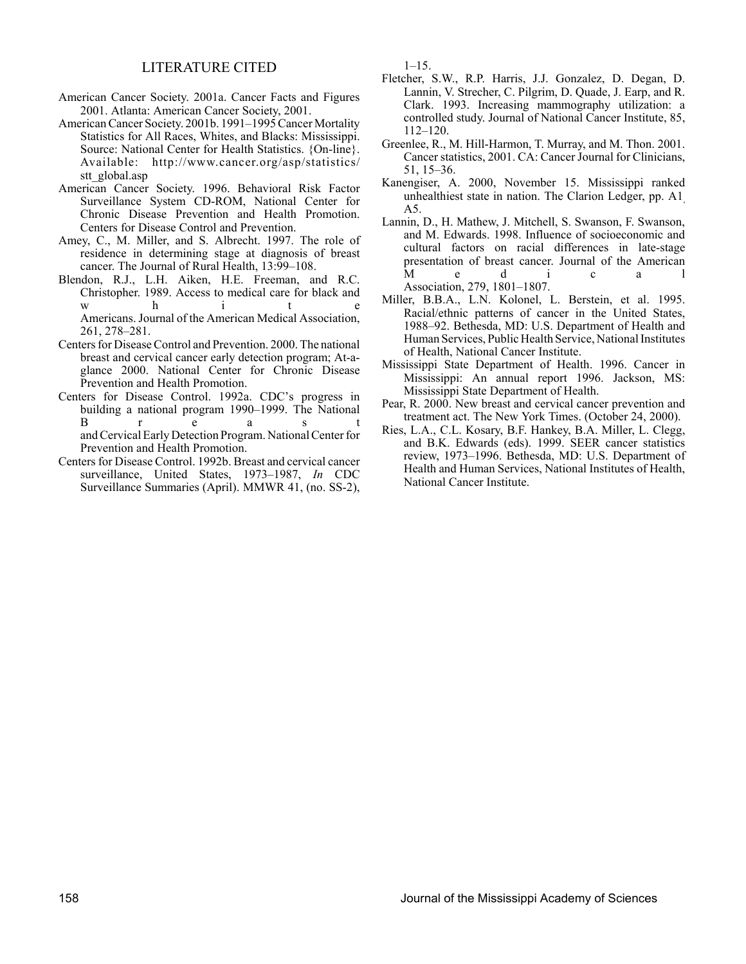#### LITERATURE CITED

- American Cancer Society. 2001a. Cancer Facts and Figures 2001. Atlanta: American Cancer Society, 2001.
- American Cancer Society. 2001b. 1991–1995 Cancer Mortality Statistics for All Races, Whites, and Blacks: Mississippi. Source: National Center for Health Statistics. {On-line}. Available: http://www.cancer.org/asp/statistics/ stt\_global.asp
- American Cancer Society. 1996. Behavioral Risk Factor Surveillance System CD-ROM, National Center for Chronic Disease Prevention and Health Promotion. Centers for Disease Control and Prevention.
- Amey, C., M. Miller, and S. Albrecht. 1997. The role of residence in determining stage at diagnosis of breast cancer. The Journal of Rural Health, 13:99–108.
- Blendon, R.J., L.H. Aiken, H.E. Freeman, and R.C. Christopher. 1989. Access to medical care for black and w h i t e Americans. Journal of the American Medical Association, 261, 278–281.
- Centers for Disease Control and Prevention. 2000. The national breast and cervical cancer early detection program; At-aglance 2000. National Center for Chronic Disease Prevention and Health Promotion.
- Centers for Disease Control. 1992a. CDC's progress in building a national program 1990–1999. The National B r e a s t and Cervical Early Detection Program. National Center for Prevention and Health Promotion.
- Centers for Disease Control. 1992b. Breast and cervical cancer surveillance, United States, 1973–1987, *In* CDC Surveillance Summaries (April). MMWR 41, (no. SS-2),

1–15.

- Fletcher, S.W., R.P. Harris, J.J. Gonzalez, D. Degan, D. Lannin, V. Strecher, C. Pilgrim, D. Quade, J. Earp, and R. Clark. 1993. Increasing mammography utilization: a controlled study. Journal of National Cancer Institute, 85, 112–120.
- Greenlee, R., M. Hill-Harmon, T. Murray, and M. Thon. 2001. Cancer statistics, 2001. CA: Cancer Journal for Clinicians, 51, 15–36.
- Kanengiser, A. 2000, November 15. Mississippi ranked unhealthiest state in nation. The Clarion Ledger, pp. A1, A5.
- Lannin, D., H. Mathew, J. Mitchell, S. Swanson, F. Swanson, and M. Edwards. 1998. Influence of socioeconomic and cultural factors on racial differences in late-stage presentation of breast cancer. Journal of the American Medical Association, 279, 1801–1807.
- Miller, B.B.A., L.N. Kolonel, L. Berstein, et al. 1995. Racial/ethnic patterns of cancer in the United States, 1988–92. Bethesda, MD: U.S. Department of Health and Human Services, Public Health Service, National Institutes of Health, National Cancer Institute.
- Mississippi State Department of Health. 1996. Cancer in Mississippi: An annual report 1996. Jackson, MS: Mississippi State Department of Health.
- Pear, R. 2000. New breast and cervical cancer prevention and treatment act. The New York Times. (October 24, 2000).
- Ries, L.A., C.L. Kosary, B.F. Hankey, B.A. Miller, L. Clegg, and B.K. Edwards (eds). 1999. SEER cancer statistics review, 1973–1996. Bethesda, MD: U.S. Department of Health and Human Services, National Institutes of Health, National Cancer Institute.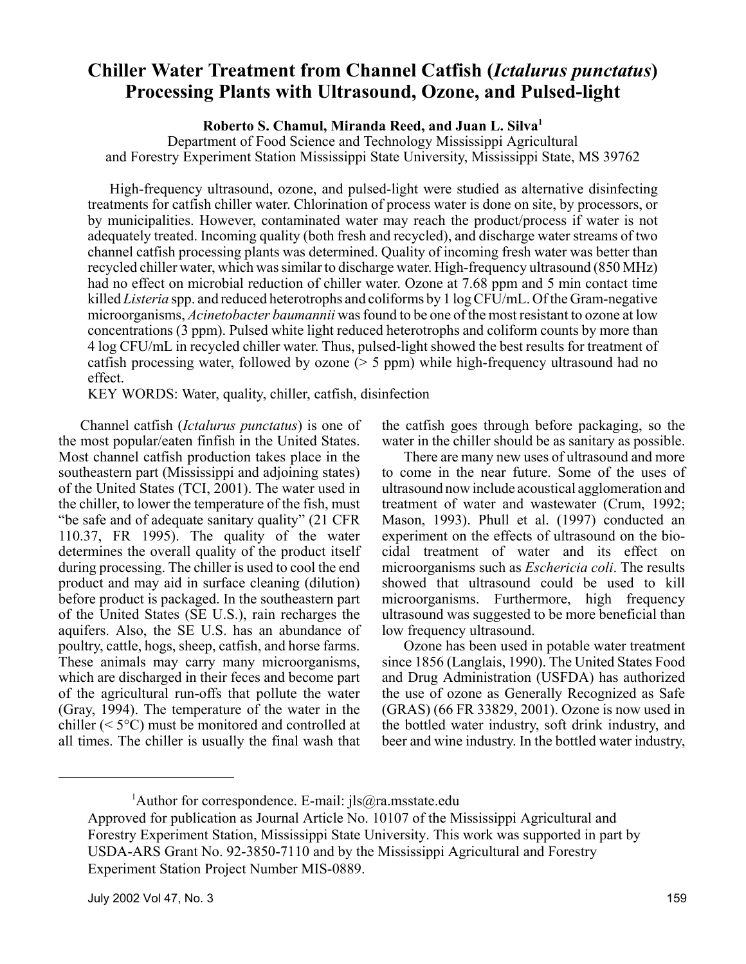# **Chiller Water Treatment from Channel Catfish (***Ictalurus punctatus***) Processing Plants with Ultrasound, Ozone, and Pulsed-light**

**Roberto S. Chamul, Miranda Reed, and Juan L. Silva1**

Department of Food Science and Technology Mississippi Agricultural and Forestry Experiment Station Mississippi State University, Mississippi State, MS 39762

High-frequency ultrasound, ozone, and pulsed-light were studied as alternative disinfecting treatments for catfish chiller water. Chlorination of process water is done on site, by processors, or by municipalities. However, contaminated water may reach the product/process if water is not adequately treated. Incoming quality (both fresh and recycled), and discharge water streams of two channel catfish processing plants was determined. Quality of incoming fresh water was better than recycled chiller water, which was similar to discharge water. High-frequency ultrasound (850 MHz) had no effect on microbial reduction of chiller water. Ozone at 7.68 ppm and 5 min contact time killed *Listeria* spp. and reduced heterotrophs and coliforms by 1 log CFU/mL. Of the Gram-negative microorganisms, *Acinetobacter baumannii* was found to be one of the most resistant to ozone at low concentrations (3 ppm). Pulsed white light reduced heterotrophs and coliform counts by more than 4 log CFU/mL in recycled chiller water. Thus, pulsed-light showed the best results for treatment of catfish processing water, followed by ozone  $(0.5)$  ppm) while high-frequency ultrasound had no effect.

KEY WORDS: Water, quality, chiller, catfish, disinfection

Channel catfish (*Ictalurus punctatus*) is one of the most popular/eaten finfish in the United States. Most channel catfish production takes place in the southeastern part (Mississippi and adjoining states) of the United States (TCI, 2001). The water used in the chiller, to lower the temperature of the fish, must "be safe and of adequate sanitary quality" (21 CFR 110.37, FR 1995). The quality of the water determines the overall quality of the product itself during processing. The chiller is used to cool the end product and may aid in surface cleaning (dilution) before product is packaged. In the southeastern part of the United States (SE U.S.), rain recharges the aquifers. Also, the SE U.S. has an abundance of poultry, cattle, hogs, sheep, catfish, and horse farms. These animals may carry many microorganisms, which are discharged in their feces and become part of the agricultural run-offs that pollute the water (Gray, 1994). The temperature of the water in the chiller (< 5°C) must be monitored and controlled at all times. The chiller is usually the final wash that

the catfish goes through before packaging, so the water in the chiller should be as sanitary as possible.

There are many new uses of ultrasound and more to come in the near future. Some of the uses of ultrasound now include acoustical agglomeration and treatment of water and wastewater (Crum, 1992; Mason, 1993). Phull et al. (1997) conducted an experiment on the effects of ultrasound on the biocidal treatment of water and its effect on microorganisms such as *Eschericia coli*. The results showed that ultrasound could be used to kill microorganisms. Furthermore, high frequency ultrasound was suggested to be more beneficial than low frequency ultrasound.

Ozone has been used in potable water treatment since 1856 (Langlais, 1990). The United States Food and Drug Administration (USFDA) has authorized the use of ozone as Generally Recognized as Safe (GRAS) (66 FR 33829, 2001). Ozone is now used in the bottled water industry, soft drink industry, and beer and wine industry. In the bottled water industry,

<sup>&</sup>lt;sup>1</sup>Author for correspondence. E-mail: jls@ra.msstate.edu

Approved for publication as Journal Article No. 10107 of the Mississippi Agricultural and Forestry Experiment Station, Mississippi State University. This work was supported in part by USDA-ARS Grant No. 92-3850-7110 and by the Mississippi Agricultural and Forestry Experiment Station Project Number MIS-0889.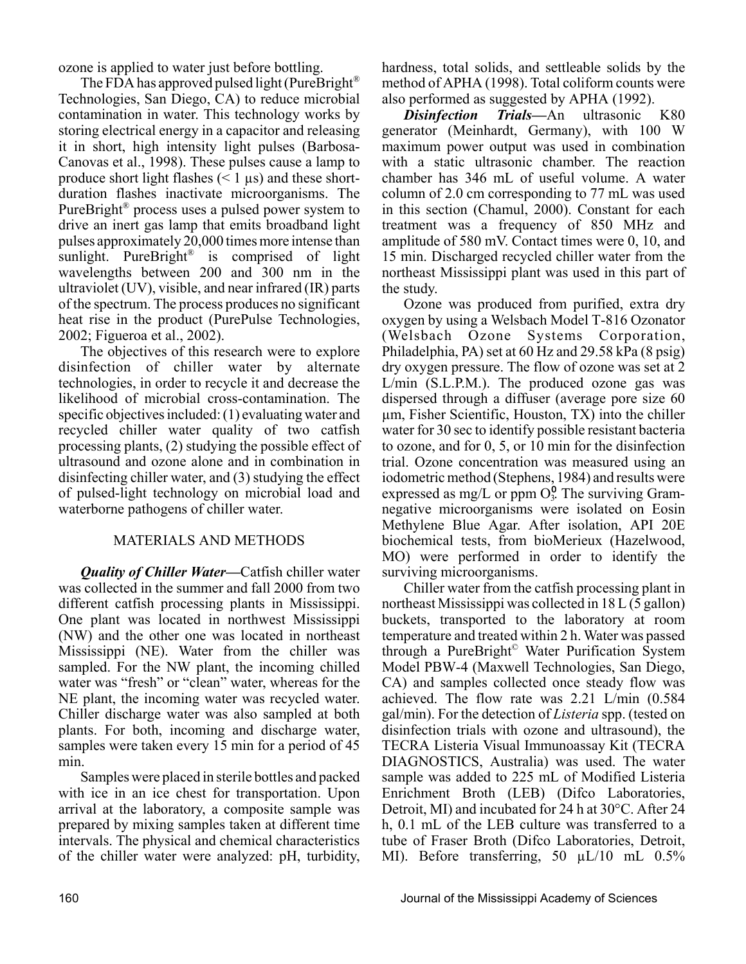ozone is applied to water just before bottling.

The FDA has approved pulsed light (PureBright® Technologies, San Diego, CA) to reduce microbial contamination in water. This technology works by storing electrical energy in a capacitor and releasing it in short, high intensity light pulses (Barbosa-Canovas et al., 1998). These pulses cause a lamp to produce short light flashes  $(< 1 \,\mu s$ ) and these shortduration flashes inactivate microorganisms. The PureBright® process uses a pulsed power system to drive an inert gas lamp that emits broadband light pulses approximately 20,000 times more intense than sunlight. PureBright<sup>®</sup> is comprised of light wavelengths between 200 and 300 nm in the ultraviolet (UV), visible, and near infrared (IR) parts of the spectrum. The process produces no significant heat rise in the product (PurePulse Technologies, 2002; Figueroa et al., 2002).

The objectives of this research were to explore disinfection of chiller water by alternate technologies, in order to recycle it and decrease the likelihood of microbial cross-contamination. The specific objectives included: (1) evaluating water and recycled chiller water quality of two catfish processing plants, (2) studying the possible effect of ultrasound and ozone alone and in combination in disinfecting chiller water, and (3) studying the effect of pulsed-light technology on microbial load and waterborne pathogens of chiller water.

## MATERIALS AND METHODS

*Quality of Chiller Water—*Catfish chiller water was collected in the summer and fall 2000 from two different catfish processing plants in Mississippi. One plant was located in northwest Mississippi (NW) and the other one was located in northeast Mississippi (NE). Water from the chiller was sampled. For the NW plant, the incoming chilled water was "fresh" or "clean" water, whereas for the NE plant, the incoming water was recycled water. Chiller discharge water was also sampled at both plants. For both, incoming and discharge water, samples were taken every 15 min for a period of 45 min.

Samples were placed in sterile bottles and packed with ice in an ice chest for transportation. Upon arrival at the laboratory, a composite sample was prepared by mixing samples taken at different time intervals. The physical and chemical characteristics of the chiller water were analyzed: pH, turbidity, hardness, total solids, and settleable solids by the method of APHA (1998). Total coliform counts were also performed as suggested by APHA (1992).

*Disinfection Trials—*An ultrasonic K80 generator (Meinhardt, Germany), with 100 W maximum power output was used in combination with a static ultrasonic chamber. The reaction chamber has 346 mL of useful volume. A water column of 2.0 cm corresponding to 77 mL was used in this section (Chamul, 2000). Constant for each treatment was a frequency of 850 MHz and amplitude of 580 mV. Contact times were 0, 10, and 15 min. Discharged recycled chiller water from the northeast Mississippi plant was used in this part of the study.

Ozone was produced from purified, extra dry oxygen by using a Welsbach Model T-816 Ozonator (Welsbach Ozone Systems Corporation, Philadelphia, PA) set at 60 Hz and 29.58 kPa (8 psig) dry oxygen pressure. The flow of ozone was set at 2 L/min (S.L.P.M.). The produced ozone gas was dispersed through a diffuser (average pore size 60 µm, Fisher Scientific, Houston, TX) into the chiller water for 30 sec to identify possible resistant bacteria to ozone, and for 0, 5, or 10 min for the disinfection trial. Ozone concentration was measured using an iodometric method (Stephens, 1984) and results were expressed as mg/L or ppm  $O_3^0$ . The surviving Gramnegative microorganisms were isolated on Eosin Methylene Blue Agar. After isolation, API 20E biochemical tests, from bioMerieux (Hazelwood, MO) were performed in order to identify the surviving microorganisms.

Chiller water from the catfish processing plant in northeast Mississippi was collected in 18 L (5 gallon) buckets, transported to the laboratory at room temperature and treated within 2 h. Water was passed through a PureBright© Water Purification System Model PBW-4 (Maxwell Technologies, San Diego, CA) and samples collected once steady flow was achieved. The flow rate was 2.21 L/min (0.584 gal/min). For the detection of *Listeria* spp. (tested on disinfection trials with ozone and ultrasound), the TECRA Listeria Visual Immunoassay Kit (TECRA DIAGNOSTICS, Australia) was used. The water sample was added to 225 mL of Modified Listeria Enrichment Broth (LEB) (Difco Laboratories, Detroit, MI) and incubated for 24 h at 30°C. After 24 h, 0.1 mL of the LEB culture was transferred to a tube of Fraser Broth (Difco Laboratories, Detroit, MI). Before transferring, 50  $\mu$ L/10 mL 0.5%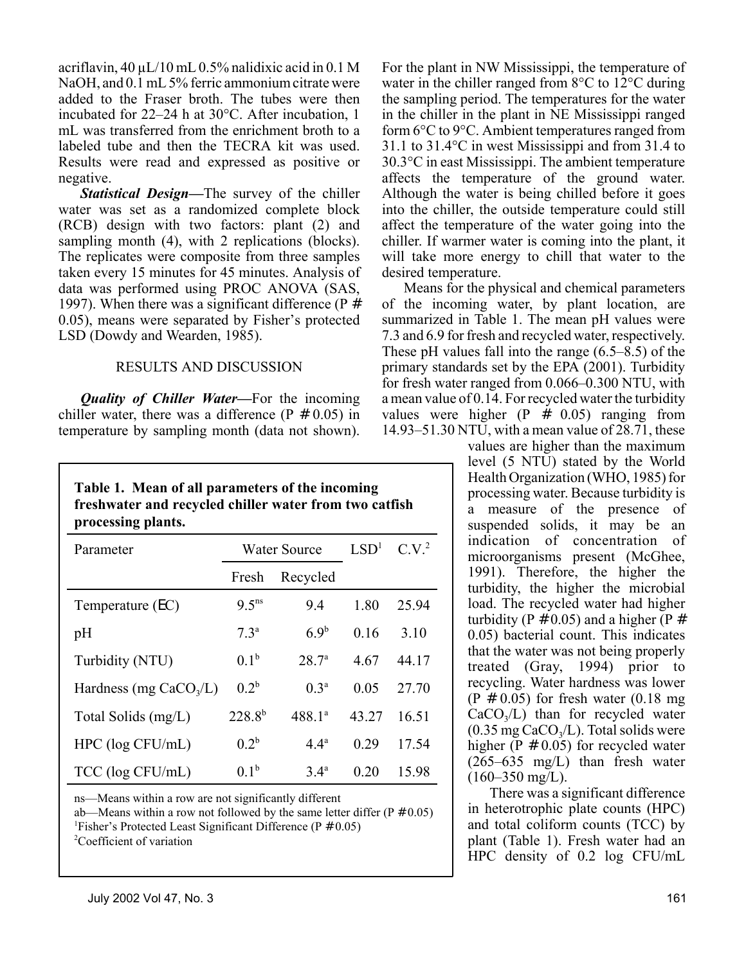acriflavin, 40 µL/10 mL 0.5% nalidixic acid in 0.1 M NaOH, and 0.1 mL 5% ferric ammonium citrate were added to the Fraser broth. The tubes were then incubated for 22–24 h at 30°C. After incubation, 1 mL was transferred from the enrichment broth to a labeled tube and then the TECRA kit was used. Results were read and expressed as positive or negative.

*Statistical Design—*The survey of the chiller water was set as a randomized complete block (RCB) design with two factors: plant (2) and sampling month (4), with 2 replications (blocks). The replicates were composite from three samples taken every 15 minutes for 45 minutes. Analysis of data was performed using PROC ANOVA (SAS, 1997). When there was a significant difference ( $P \#$ 0.05), means were separated by Fisher's protected LSD (Dowdy and Wearden, 1985).

#### RESULTS AND DISCUSSION

*Quality of Chiller Water—*For the incoming chiller water, there was a difference ( $P \neq 0.05$ ) in temperature by sampling month (data not shown).

## **Table 1. Mean of all parameters of the incoming freshwater and recycled chiller water from two catfish processing plants.**

| Parameter                | <b>Water Source</b> |                   | LSD <sup>1</sup> | C.V. <sup>2</sup> |
|--------------------------|---------------------|-------------------|------------------|-------------------|
|                          | Fresh               | Recycled          |                  |                   |
| Temperature (EC)         | 9.5 <sup>ns</sup>   | 9.4               | 1.80             | 25.94             |
| pH                       | $7.3^{\rm a}$       | 6.9 <sup>b</sup>  | 0.16             | 3.10              |
| Turbidity (NTU)          | $0.1^{\rm b}$       | 28.7 <sup>a</sup> | 4.67             | 44.17             |
| Hardness (mg $CaCO3/L$ ) | $0.2^{b}$           | $( ) 3^a$         | 0.05             | 27.70             |
| Total Solids (mg/L)      | $228.8^{b}$         | $488.1^{a}$       | 43.27            | 16.51             |
| $HPC$ (log $CFU/mL$ )    | $0.2^b$             | $4.4^a$           | 0.29             | 17.54             |
| TCC (log CFU/mL)         | $0.1^{\rm b}$       | $3.4^{\rm a}$     | 0.20             | 15 98             |

ns—Means within a row are not significantly different

ab—Means within a row not followed by the same letter differ ( $P \neq 0.05$ )

<sup>1</sup>Fisher's Protected Least Significant Difference (P # 0.05)

<sup>2</sup>Coefficient of variation

For the plant in NW Mississippi, the temperature of water in the chiller ranged from 8°C to 12°C during the sampling period. The temperatures for the water in the chiller in the plant in NE Mississippi ranged form 6°C to 9°C. Ambient temperatures ranged from 31.1 to 31.4°C in west Mississippi and from 31.4 to 30.3°C in east Mississippi. The ambient temperature affects the temperature of the ground water. Although the water is being chilled before it goes into the chiller, the outside temperature could still affect the temperature of the water going into the chiller. If warmer water is coming into the plant, it will take more energy to chill that water to the desired temperature.

Means for the physical and chemical parameters of the incoming water, by plant location, are summarized in Table 1. The mean pH values were 7.3 and 6.9 for fresh and recycled water, respectively. These pH values fall into the range (6.5–8.5) of the primary standards set by the EPA (2001). Turbidity for fresh water ranged from 0.066–0.300 NTU, with a mean value of 0.14. For recycled water the turbidity values were higher  $(P \# 0.05)$  ranging from 14.93–51.30 NTU, with a mean value of 28.71, these

> values are higher than the maximum level (5 NTU) stated by the World Health Organization (WHO, 1985) for processing water. Because turbidity is a measure of the presence of suspended solids, it may be an indication of concentration of microorganisms present (McGhee, 1991). Therefore, the higher the turbidity, the higher the microbial load. The recycled water had higher turbidity (P  $\#$  0.05) and a higher (P  $\#$ 0.05) bacterial count. This indicates that the water was not being properly treated (Gray, 1994) prior to recycling. Water hardness was lower  $(P \# 0.05)$  for fresh water  $(0.18 \text{ mg})$  $CaCO<sub>3</sub>/L$ ) than for recycled water  $(0.35 \text{ mg } \text{CaCO}_{3}/\text{L})$ . Total solids were higher ( $P \neq 0.05$ ) for recycled water (265–635 mg/L) than fresh water  $(160-350 \text{ mg/L}).$

> There was a significant difference in heterotrophic plate counts (HPC) and total coliform counts (TCC) by plant (Table 1). Fresh water had an HPC density of 0.2 log CFU/mL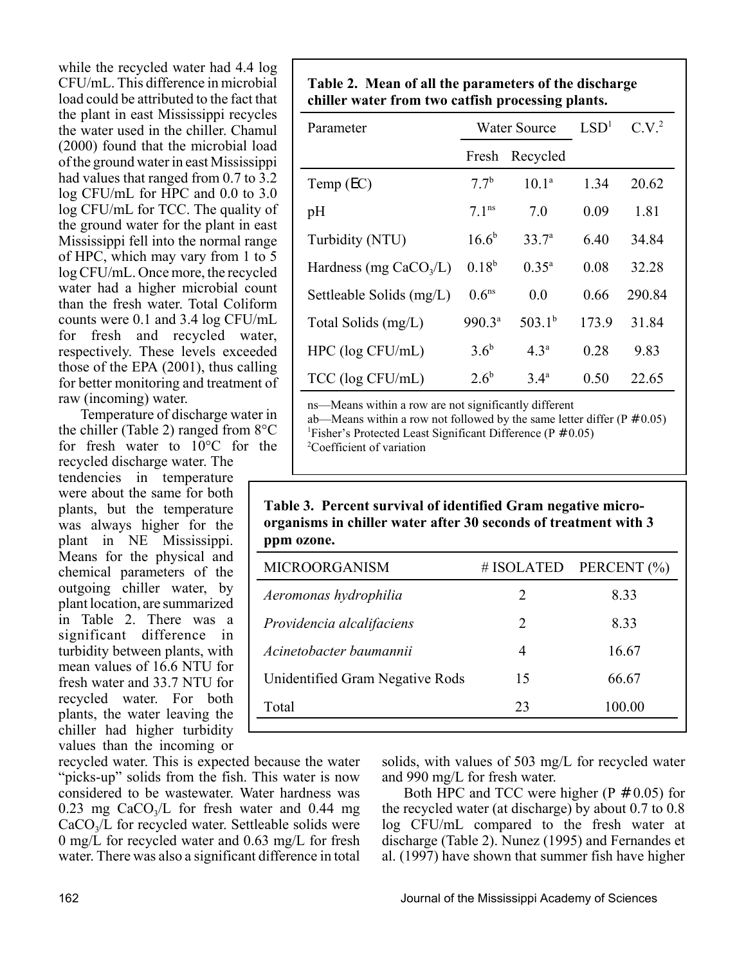while the recycled water had 4.4 log CFU/mL. This difference in microbial load could be attributed to the fact that the plant in east Mississippi recycles the water used in the chiller. Chamul (2000) found that the microbial load of the ground water in east Mississippi had values that ranged from 0.7 to 3.2 log CFU/mL for HPC and 0.0 to 3.0 log CFU/mL for TCC. The quality of the ground water for the plant in east Mississippi fell into the normal range of HPC, which may vary from 1 to 5 log CFU/mL. Once more, the recycled water had a higher microbial count than the fresh water. Total Coliform counts were 0.1 and 3.4 log CFU/mL for fresh and recycled water, respectively. These levels exceeded those of the EPA (2001), thus calling for better monitoring and treatment of raw (incoming) water.

Temperature of discharge water in the chiller (Table 2) ranged from 8°C for fresh water to 10°C for the recycled discharge water. The tendencies in temperature were about the same for both plants, but the temperature was always higher for the plant in NE Mississippi. Means for the physical and chemical parameters of the outgoing chiller water, by plant location, are summarized in Table 2. There was a significant difference in turbidity between plants, with mean values of 16.6 NTU for fresh water and 33.7 NTU for recycled water. For both plants, the water leaving the chiller had higher turbidity values than the incoming or

recycled water. This is expected because the water "picks-up" solids from the fish. This water is now considered to be wastewater. Water hardness was 0.23 mg  $CaCO<sub>3</sub>/L$  for fresh water and 0.44 mg  $CaCO<sub>3</sub>/L$  for recycled water. Settleable solids were 0 mg/L for recycled water and 0.63 mg/L for fresh water. There was also a significant difference in total

|  | Table 2. Mean of all the parameters of the discharge |  |
|--|------------------------------------------------------|--|
|  | chiller water from two catfish processing plants.    |  |

| Parameter                |                              | <b>Water Source</b> |       | C.V. <sup>2</sup> |
|--------------------------|------------------------------|---------------------|-------|-------------------|
|                          | Fresh                        | Recycled            |       |                   |
| Temp (EC)                | $7\,\mathrm{7}^{\mathrm{b}}$ | $10.1^a$            | 1.34  | 20.62             |
| pH                       | 7.1 <sup>ns</sup>            | 7.0                 | 0.09  | 1.81              |
| Turbidity (NTU)          | $16.6^{b}$                   | 33.7 <sup>a</sup>   | 6.40  | 34.84             |
| Hardness (mg $CaCO3/L$ ) | $0.18^{b}$                   | $0.35^{\rm a}$      | 0.08  | 32 28             |
| Settleable Solids (mg/L) | 0.6 <sup>ns</sup>            | 0 <sub>0</sub>      | 0.66  | 290.84            |
| Total Solids (mg/L)      | 990.3 <sup>a</sup>           | $503.1^{b}$         | 173.9 | 31.84             |
| $HPC$ (log $CFU/mL$ )    | 3.6 <sup>b</sup>             | $4.3^{\circ}$       | 0.28  | 9.83              |
| TCC (log CFU/mL)         | $2.6^{b}$                    | $3.4^{\circ}$       | 0.50  | 22.65             |

ns—Means within a row are not significantly different

ab—Means within a row not followed by the same letter differ ( $P \neq 0.05$ ) <sup>1</sup>Fisher's Protected Least Significant Difference ( $P \neq 0.05$ ) 2 Coefficient of variation

| Table 3. Percent survival of identified Gram negative micro-    |
|-----------------------------------------------------------------|
| organisms in chiller water after 30 seconds of treatment with 3 |
| ppm ozone.                                                      |

| <b>MICROORGANISM</b>            | # ISOLATED                  | PERCENT $(\% )$ |
|---------------------------------|-----------------------------|-----------------|
| Aeromonas hydrophilia           | $\mathcal{D}_{\mathcal{L}}$ | 8.33            |
| Providencia alcalifaciens       | $\mathcal{D}_{\mathcal{L}}$ | 8.33            |
| Acinetobacter baumannii         | 4                           | 16.67           |
| Unidentified Gram Negative Rods | 15                          | 66.67           |
| Total                           | 23                          | 100.00          |
|                                 |                             |                 |

solids, with values of 503 mg/L for recycled water and 990 mg/L for fresh water.

Both HPC and TCC were higher (P # 0.05) for the recycled water (at discharge) by about 0.7 to 0.8 log CFU/mL compared to the fresh water at discharge (Table 2). Nunez (1995) and Fernandes et al. (1997) have shown that summer fish have higher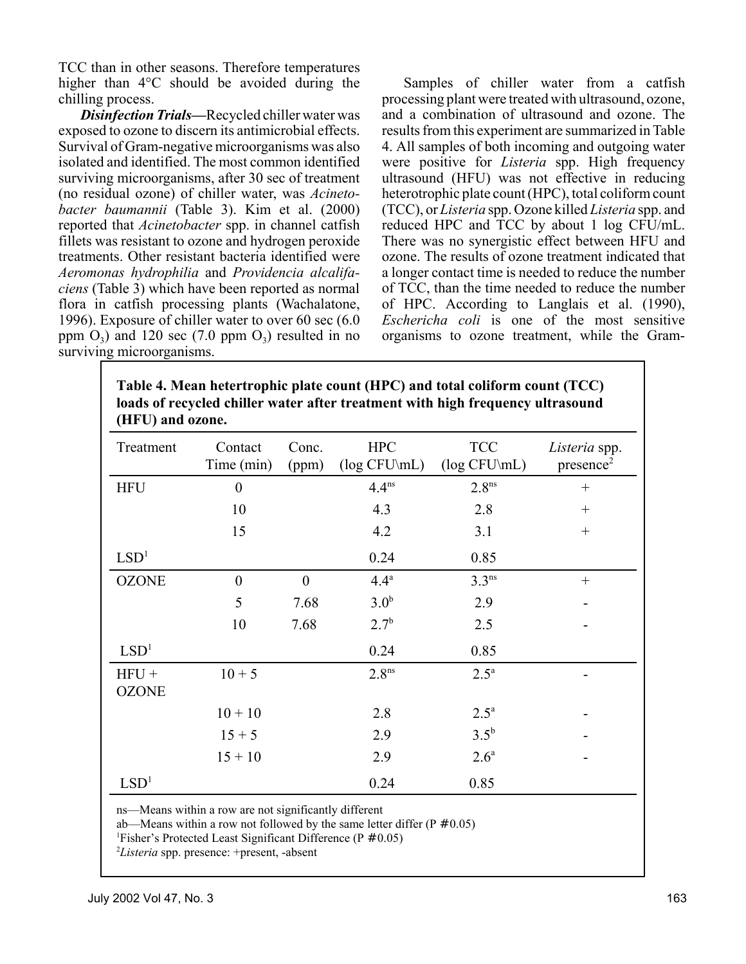TCC than in other seasons. Therefore temperatures higher than 4°C should be avoided during the chilling process.

*Disinfection Trials—*Recycled chiller water was exposed to ozone to discern its antimicrobial effects. Survival of Gram-negative microorganisms was also isolated and identified. The most common identified surviving microorganisms, after 30 sec of treatment (no residual ozone) of chiller water, was *Acinetobacter baumannii* (Table 3). Kim et al. (2000) reported that *Acinetobacter* spp. in channel catfish fillets was resistant to ozone and hydrogen peroxide treatments. Other resistant bacteria identified were *Aeromonas hydrophilia* and *Providencia alcalifaciens* (Table 3) which have been reported as normal flora in catfish processing plants (Wachalatone, 1996). Exposure of chiller water to over 60 sec (6.0 ppm  $O_3$ ) and 120 sec (7.0 ppm  $O_3$ ) resulted in no surviving microorganisms.

Samples of chiller water from a catfish processing plant were treated with ultrasound, ozone, and a combination of ultrasound and ozone. The results from this experiment are summarized in Table 4. All samples of both incoming and outgoing water were positive for *Listeria* spp. High frequency ultrasound (HFU) was not effective in reducing heterotrophic plate count (HPC), total coliform count (TCC), or *Listeria* spp. Ozone killed *Listeria* spp. and reduced HPC and TCC by about 1 log CFU/mL. There was no synergistic effect between HFU and ozone. The results of ozone treatment indicated that a longer contact time is needed to reduce the number of TCC, than the time needed to reduce the number of HPC. According to Langlais et al. (1990), *Eschericha coli* is one of the most sensitive organisms to ozone treatment, while the Gram-

**Table 4. Mean hetertrophic plate count (HPC) and total coliform count (TCC) loads of recycled chiller water after treatment with high frequency ultrasound (HFU) and ozone.**

| Treatment               | Contact<br>Time (min) | Conc.<br>(ppm) | <b>HPC</b><br>$(log CFU\mL)$ | <b>TCC</b><br>$(log CFU\backslash mL)$ | Listeria spp.<br>presence <sup>2</sup> |
|-------------------------|-----------------------|----------------|------------------------------|----------------------------------------|----------------------------------------|
| <b>HFU</b>              | $\boldsymbol{0}$      |                | 4.4 <sup>ns</sup>            | 2.8 <sup>ns</sup>                      | $+$                                    |
|                         | 10                    |                | 4.3                          | 2.8                                    | $+$                                    |
|                         | 15                    |                | 4.2                          | 3.1                                    | $+$                                    |
| LSD <sup>1</sup>        |                       |                | 0.24                         | 0.85                                   |                                        |
| <b>OZONE</b>            | $\boldsymbol{0}$      | $\mathbf{0}$   | 4.4 <sup>a</sup>             | 3.3 <sup>ns</sup>                      | $+$                                    |
|                         | 5                     | 7.68           | 3.0 <sup>b</sup>             | 2.9                                    |                                        |
|                         | 10                    | 7.68           | $2.7^{\rm b}$                | 2.5                                    |                                        |
| LSD <sup>1</sup>        |                       |                | 0.24                         | 0.85                                   |                                        |
| $HFU +$<br><b>OZONE</b> | $10 + 5$              |                | 2.8 <sup>ns</sup>            | $2.5^{\circ}$                          |                                        |
|                         | $10 + 10$             |                | 2.8                          | $2.5^{\circ}$                          |                                        |
|                         | $15 + 5$              |                | 2.9                          | $3.5^{b}$                              |                                        |
|                         | $15 + 10$             |                | 2.9                          | 2.6 <sup>a</sup>                       |                                        |
| LSD <sup>1</sup>        |                       |                | 0.24                         | 0.85                                   |                                        |

ns—Means within a row are not significantly different

ab—Means within a row not followed by the same letter differ ( $P \neq 0.05$ )

<sup>1</sup>Fisher's Protected Least Significant Difference (P # 0.05)

2 *Listeria* spp. presence: +present, -absent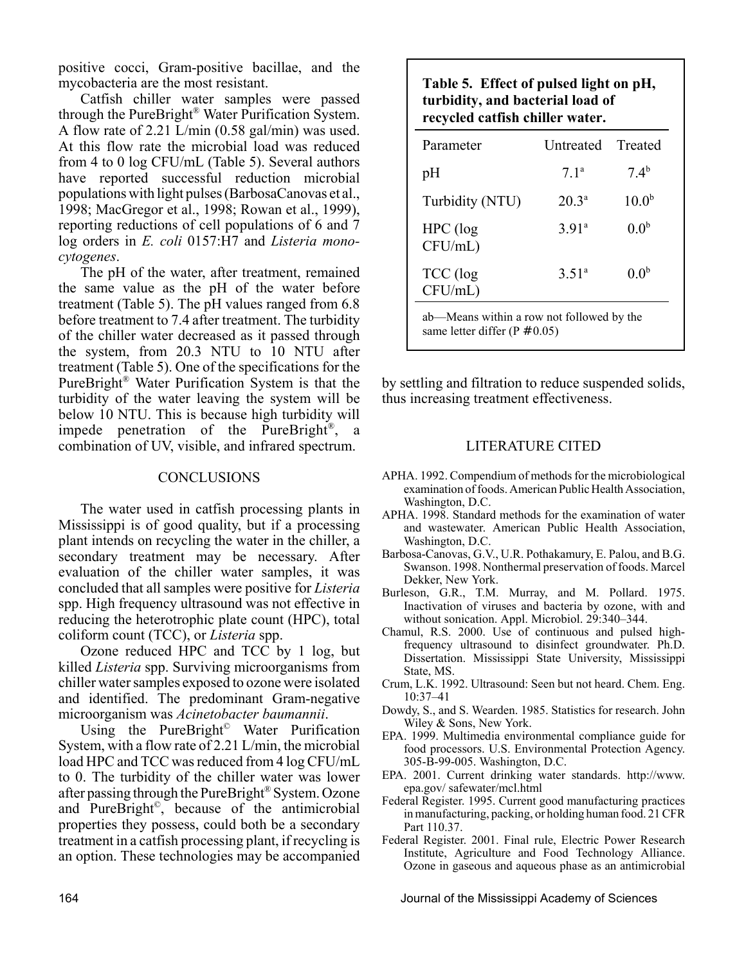positive cocci, Gram-positive bacillae, and the mycobacteria are the most resistant.

Catfish chiller water samples were passed through the PureBright® Water Purification System. A flow rate of 2.21 L/min (0.58 gal/min) was used. At this flow rate the microbial load was reduced from 4 to 0 log CFU/mL (Table 5). Several authors have reported successful reduction microbial populations with light pulses (BarbosaCanovas et al., 1998; MacGregor et al., 1998; Rowan et al., 1999), reporting reductions of cell populations of 6 and 7 log orders in *E. coli* 0157:H7 and *Listeria monocytogenes*.

The pH of the water, after treatment, remained the same value as the pH of the water before treatment (Table 5). The pH values ranged from 6.8 before treatment to 7.4 after treatment. The turbidity of the chiller water decreased as it passed through the system, from 20.3 NTU to 10 NTU after treatment (Table 5). One of the specifications for the PureBright® Water Purification System is that the turbidity of the water leaving the system will be below 10 NTU. This is because high turbidity will impede penetration of the PureBright®, a combination of UV, visible, and infrared spectrum.

#### **CONCLUSIONS**

The water used in catfish processing plants in Mississippi is of good quality, but if a processing plant intends on recycling the water in the chiller, a secondary treatment may be necessary. After evaluation of the chiller water samples, it was concluded that all samples were positive for *Listeria* spp. High frequency ultrasound was not effective in reducing the heterotrophic plate count (HPC), total coliform count (TCC), or *Listeria* spp.

Ozone reduced HPC and TCC by 1 log, but killed *Listeria* spp. Surviving microorganisms from chiller water samples exposed to ozone were isolated and identified. The predominant Gram-negative microorganism was *Acinetobacter baumannii*.

Using the PureBright<sup>©</sup> Water Purification System, with a flow rate of 2.21 L/min, the microbial load HPC and TCC was reduced from 4 log CFU/mL to 0. The turbidity of the chiller water was lower after passing through the PureBright® System. Ozone and PureBright©, because of the antimicrobial properties they possess, could both be a secondary treatment in a catfish processing plant, if recycling is an option. These technologies may be accompanied

## **Table 5. Effect of pulsed light on pH, turbidity, and bacterial load of recycled catfish chiller water.**

| Parameter                                                                         | <b>Untreated</b> | Treated                    |
|-----------------------------------------------------------------------------------|------------------|----------------------------|
| pH                                                                                | $7.1^{\circ}$    | $7.4^{b}$                  |
| Turbidity (NTU)                                                                   | $20.3^{\rm a}$   | $10.0^{b}$                 |
| $HPC$ (log<br>CFU/mL)                                                             | $3.91^{\circ}$   | 0.0 <sup>b</sup>           |
| TCC (log<br>CFU/mL)                                                               | $3.51^{\circ}$   | 0 <sup>0<sub>p</sub></sup> |
| ab—Means within a row not followed by the<br>same letter differ ( $P \neq 0.05$ ) |                  |                            |

by settling and filtration to reduce suspended solids, thus increasing treatment effectiveness.

#### LITERATURE CITED

- APHA. 1992. Compendium of methods for the microbiological examination of foods. American Public Health Association, Washington, D.C.
- APHA. 1998. Standard methods for the examination of water and wastewater. American Public Health Association, Washington, D.C.
- Barbosa-Canovas, G.V., U.R. Pothakamury, E. Palou, and B.G. Swanson. 1998. Nonthermal preservation of foods. Marcel Dekker, New York.
- Burleson, G.R., T.M. Murray, and M. Pollard. 1975. Inactivation of viruses and bacteria by ozone, with and without sonication. Appl. Microbiol. 29:340–344.
- Chamul, R.S. 2000. Use of continuous and pulsed highfrequency ultrasound to disinfect groundwater. Ph.D. Dissertation. Mississippi State University, Mississippi State, MS.
- Crum, L.K. 1992. Ultrasound: Seen but not heard. Chem. Eng. 10:37–41
- Dowdy, S., and S. Wearden. 1985. Statistics for research. John Wiley & Sons, New York.
- EPA. 1999. Multimedia environmental compliance guide for food processors. U.S. Environmental Protection Agency. 305-B-99-005. Washington, D.C.
- EPA. 2001. Current drinking water standards. http://www. epa.gov/ safewater/mcl.html
- Federal Register. 1995. Current good manufacturing practices in manufacturing, packing, or holding human food. 21 CFR Part 110.37.
- Federal Register. 2001. Final rule, Electric Power Research Institute, Agriculture and Food Technology Alliance. Ozone in gaseous and aqueous phase as an antimicrobial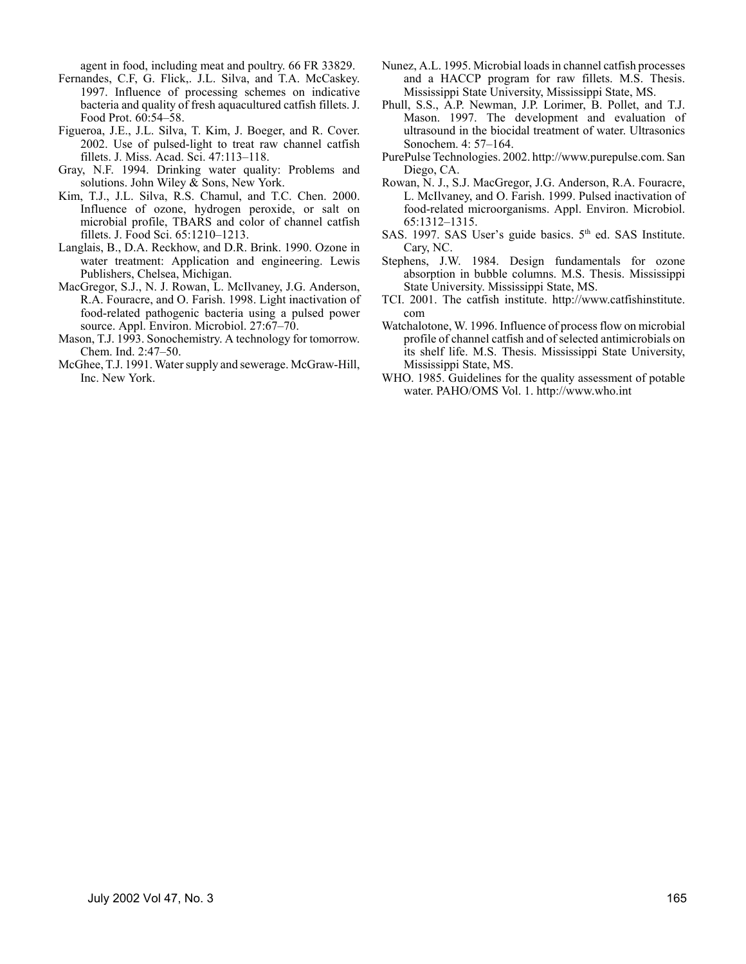agent in food, including meat and poultry. 66 FR 33829.

- Fernandes, C.F, G. Flick,. J.L. Silva, and T.A. McCaskey. 1997. Influence of processing schemes on indicative bacteria and quality of fresh aquacultured catfish fillets. J. Food Prot. 60:54–58.
- Figueroa, J.E., J.L. Silva, T. Kim, J. Boeger, and R. Cover. 2002. Use of pulsed-light to treat raw channel catfish fillets. J. Miss. Acad. Sci. 47:113–118.
- Gray, N.F. 1994. Drinking water quality: Problems and solutions. John Wiley & Sons, New York.
- Kim, T.J., J.L. Silva, R.S. Chamul, and T.C. Chen. 2000. Influence of ozone, hydrogen peroxide, or salt on microbial profile, TBARS and color of channel catfish fillets. J. Food Sci. 65:1210–1213.
- Langlais, B., D.A. Reckhow, and D.R. Brink. 1990. Ozone in water treatment: Application and engineering. Lewis Publishers, Chelsea, Michigan.
- MacGregor, S.J., N. J. Rowan, L. McIlvaney, J.G. Anderson, R.A. Fouracre, and O. Farish. 1998. Light inactivation of food-related pathogenic bacteria using a pulsed power source. Appl. Environ. Microbiol. 27:67-70.
- Mason, T.J. 1993. Sonochemistry. A technology for tomorrow. Chem. Ind. 2:47–50.
- McGhee, T.J. 1991. Water supply and sewerage. McGraw-Hill, Inc. New York.
- Nunez, A.L. 1995. Microbial loads in channel catfish processes and a HACCP program for raw fillets. M.S. Thesis. Mississippi State University, Mississippi State, MS.
- Phull, S.S., A.P. Newman, J.P. Lorimer, B. Pollet, and T.J. Mason. 1997. The development and evaluation of ultrasound in the biocidal treatment of water. Ultrasonics Sonochem. 4: 57–164.
- PurePulse Technologies. 2002. http://www.purepulse.com. San Diego, CA.
- Rowan, N. J., S.J. MacGregor, J.G. Anderson, R.A. Fouracre, L. McIlvaney, and O. Farish. 1999. Pulsed inactivation of food-related microorganisms. Appl. Environ. Microbiol. 65:1312–1315.
- SAS. 1997. SAS User's guide basics. 5<sup>th</sup> ed. SAS Institute. Cary, NC.
- Stephens, J.W. 1984. Design fundamentals for ozone absorption in bubble columns. M.S. Thesis. Mississippi State University. Mississippi State, MS.
- TCI. 2001. The catfish institute. http://www.catfishinstitute. com
- Watchalotone, W. 1996. Influence of process flow on microbial profile of channel catfish and of selected antimicrobials on its shelf life. M.S. Thesis. Mississippi State University, Mississippi State, MS.
- WHO. 1985. Guidelines for the quality assessment of potable water. PAHO/OMS Vol. 1. http://www.who.int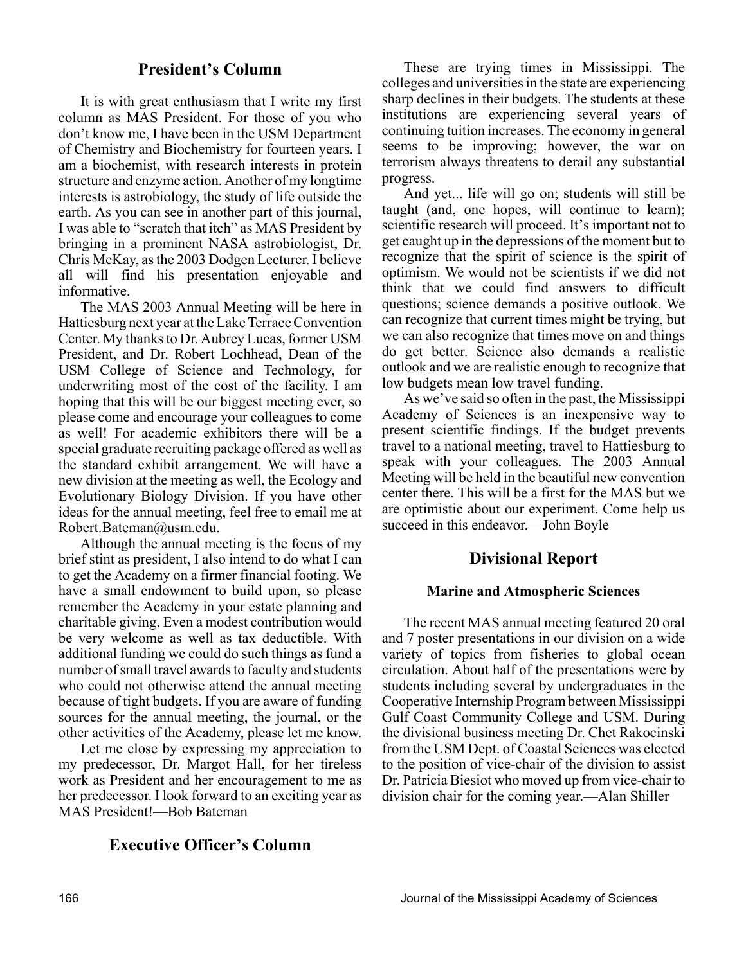# **President's Column**

It is with great enthusiasm that I write my first column as MAS President. For those of you who don't know me, I have been in the USM Department of Chemistry and Biochemistry for fourteen years. I am a biochemist, with research interests in protein structure and enzyme action. Another of my longtime interests is astrobiology, the study of life outside the earth. As you can see in another part of this journal, I was able to "scratch that itch" as MAS President by bringing in a prominent NASA astrobiologist, Dr. Chris McKay, as the 2003 Dodgen Lecturer. I believe all will find his presentation enjoyable and informative.

The MAS 2003 Annual Meeting will be here in Hattiesburg next year at the Lake Terrace Convention Center. My thanks to Dr. Aubrey Lucas, former USM President, and Dr. Robert Lochhead, Dean of the USM College of Science and Technology, for underwriting most of the cost of the facility. I am hoping that this will be our biggest meeting ever, so please come and encourage your colleagues to come as well! For academic exhibitors there will be a special graduate recruiting package offered as well as the standard exhibit arrangement. We will have a new division at the meeting as well, the Ecology and Evolutionary Biology Division. If you have other ideas for the annual meeting, feel free to email me at Robert.Bateman@usm.edu.

Although the annual meeting is the focus of my brief stint as president, I also intend to do what I can to get the Academy on a firmer financial footing. We have a small endowment to build upon, so please remember the Academy in your estate planning and charitable giving. Even a modest contribution would be very welcome as well as tax deductible. With additional funding we could do such things as fund a number of small travel awards to faculty and students who could not otherwise attend the annual meeting because of tight budgets. If you are aware of funding sources for the annual meeting, the journal, or the other activities of the Academy, please let me know.

Let me close by expressing my appreciation to my predecessor, Dr. Margot Hall, for her tireless work as President and her encouragement to me as her predecessor. I look forward to an exciting year as MAS President!—Bob Bateman

# **Executive Officer's Column**

These are trying times in Mississippi. The colleges and universities in the state are experiencing sharp declines in their budgets. The students at these institutions are experiencing several years of continuing tuition increases. The economy in general seems to be improving; however, the war on terrorism always threatens to derail any substantial progress.

And yet... life will go on; students will still be taught (and, one hopes, will continue to learn); scientific research will proceed. It's important not to get caught up in the depressions of the moment but to recognize that the spirit of science is the spirit of optimism. We would not be scientists if we did not think that we could find answers to difficult questions; science demands a positive outlook. We can recognize that current times might be trying, but we can also recognize that times move on and things do get better. Science also demands a realistic outlook and we are realistic enough to recognize that low budgets mean low travel funding.

As we've said so often in the past, the Mississippi Academy of Sciences is an inexpensive way to present scientific findings. If the budget prevents travel to a national meeting, travel to Hattiesburg to speak with your colleagues. The 2003 Annual Meeting will be held in the beautiful new convention center there. This will be a first for the MAS but we are optimistic about our experiment. Come help us succeed in this endeavor.—John Boyle

#### **Divisional Report**

#### **Marine and Atmospheric Sciences**

The recent MAS annual meeting featured 20 oral and 7 poster presentations in our division on a wide variety of topics from fisheries to global ocean circulation. About half of the presentations were by students including several by undergraduates in the Cooperative Internship Program between Mississippi Gulf Coast Community College and USM. During the divisional business meeting Dr. Chet Rakocinski from the USM Dept. of Coastal Sciences was elected to the position of vice-chair of the division to assist Dr. Patricia Biesiot who moved up from vice-chair to division chair for the coming year.—Alan Shiller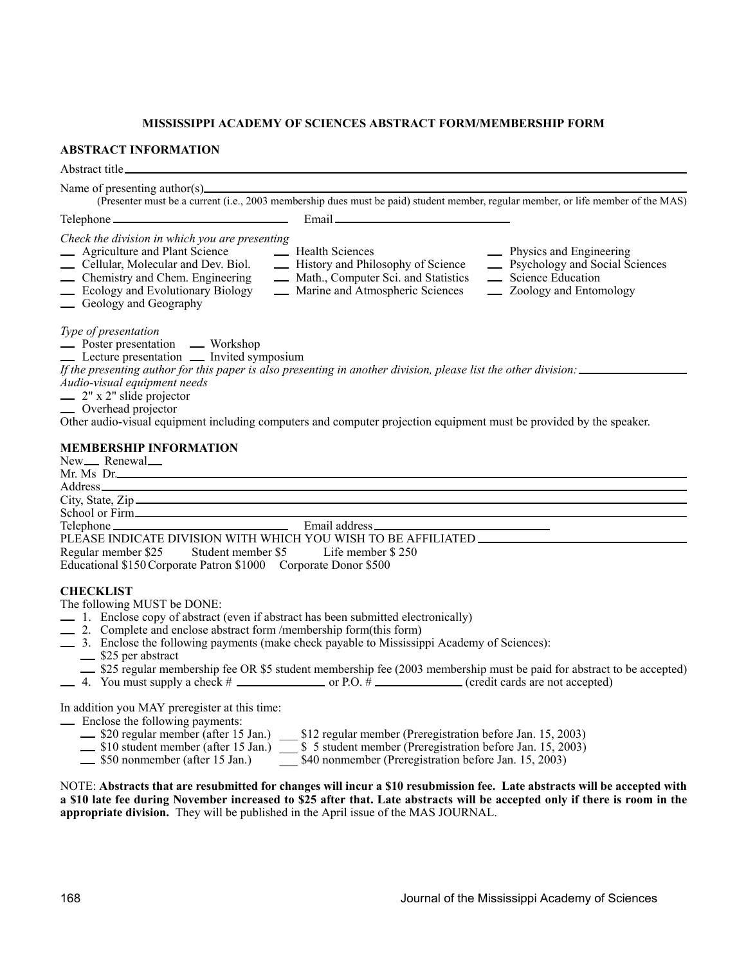#### **MISSISSIPPI ACADEMY OF SCIENCES ABSTRACT FORM/MEMBERSHIP FORM**

#### **ABSTRACT INFORMATION**

| Name of presenting author(s)<br>(Presenter must be a current (i.e., 2003 membership dues must be paid) student member, regular member, or life member of the MAS)                                                                                                                                                                                                                                                                                                                                                           |
|-----------------------------------------------------------------------------------------------------------------------------------------------------------------------------------------------------------------------------------------------------------------------------------------------------------------------------------------------------------------------------------------------------------------------------------------------------------------------------------------------------------------------------|
|                                                                                                                                                                                                                                                                                                                                                                                                                                                                                                                             |
| Check the division in which you are presenting<br>Agriculture and Plant Science Thealth Sciences<br>- Physics and Engineering<br><u>- Psychology</u> and Social Sciences<br>- Math., Computer Sci. and Statistics<br>- Chemistry and Chem. Engineering<br>- Science Education<br><u>Marine</u> and Atmospheric Sciences<br><b>Example 2</b> Ecology and Evolutionary Biology<br>- Zoology and Entomology<br>- Geology and Geography                                                                                         |
| Type of presentation<br>- Poster presentation - Workshop<br>- Lecture presentation - Invited symposium<br>If the presenting author for this paper is also presenting in another division, please list the other division:<br>Audio-visual equipment needs<br>$\frac{1}{2}$ 2" x 2" slide projector<br><b>COVEREGALA</b> projector<br>Other audio-visual equipment including computers and computer projection equipment must be provided by the speaker.                                                                    |
| <b>MEMBERSHIP INFORMATION</b><br>New __ Renewal__<br>Mr. Ms Dr.<br>School or Firm <u>the contract of the contract of the contract of the contract of the contract of the contract of the contract of the contract of the contract of the contract of the contract of the contract of the contract o</u><br>PLEASE INDICATE DIVISION WITH WHICH YOU WISH TO BE AFFILIATED ___________________<br>Regular member \$25 Student member \$5 Life member \$250<br>Educational \$150 Corporate Patron \$1000 Corporate Donor \$500 |
| <b>CHECKLIST</b><br>The following MUST be DONE:<br>-1. Enclose copy of abstract (even if abstract has been submitted electronically)<br>- 2. Complete and enclose abstract form /membership form(this form)<br>- \$25 per abstract<br>\$25 regular membership fee OR \$5 student membership fee (2003 membership must be paid for abstract to be accepted)                                                                                                                                                                  |

In addition you MAY preregister at this time:

Enclose the following payments:

- \$20 regular member (after 15 Jan.) \_\_\_ \$12 regular member (Preregistration before Jan. 15, 2003)
	- \$10 student member (after 15 Jan.) \_\_\_ \$ 5 student member (Preregistration before Jan. 15, 2003)
	- \$50 nonmember (after 15 Jan.) \_\_\_ \$40 nonmember (Preregistration before Jan. 15, 2003)

NOTE: **Abstracts that are resubmitted for changes will incur a \$10 resubmission fee. Late abstracts will be accepted with a \$10 late fee during November increased to \$25 after that. Late abstracts will be accepted only if there is room in the appropriate division.** They will be published in the April issue of the MAS JOURNAL.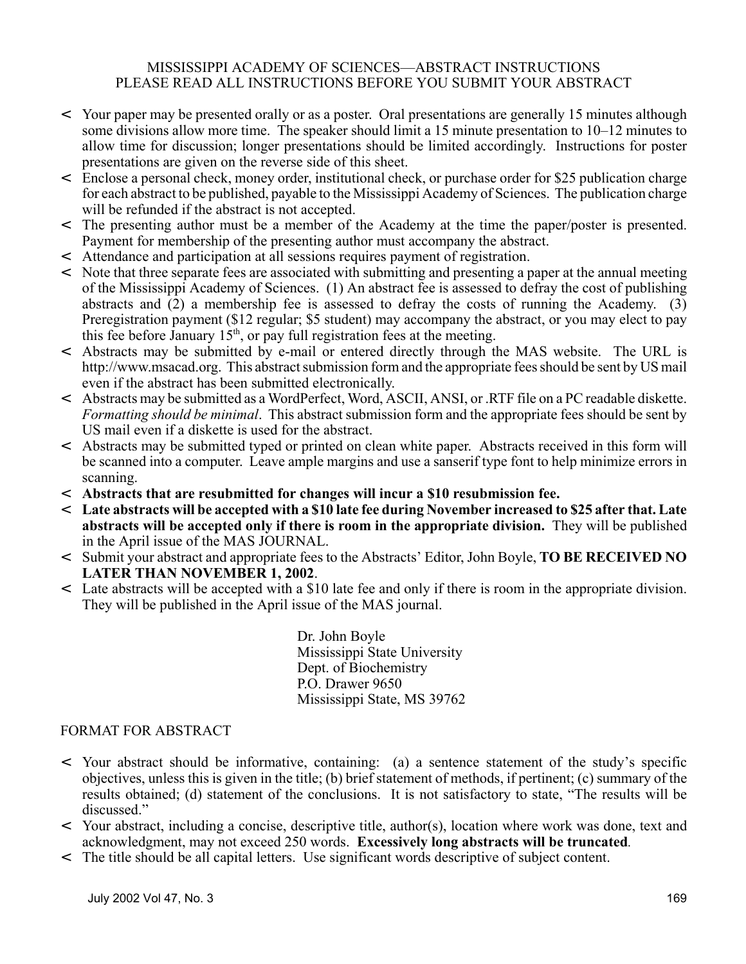### MISSISSIPPI ACADEMY OF SCIENCES—ABSTRACT INSTRUCTIONS PLEASE READ ALL INSTRUCTIONS BEFORE YOU SUBMIT YOUR ABSTRACT

- < Your paper may be presented orally or as a poster. Oral presentations are generally 15 minutes although some divisions allow more time. The speaker should limit a 15 minute presentation to 10–12 minutes to allow time for discussion; longer presentations should be limited accordingly. Instructions for poster presentations are given on the reverse side of this sheet.
- < Enclose a personal check, money order, institutional check, or purchase order for \$25 publication charge for each abstract to be published, payable to the Mississippi Academy of Sciences. The publication charge will be refunded if the abstract is not accepted.
- < The presenting author must be a member of the Academy at the time the paper/poster is presented. Payment for membership of the presenting author must accompany the abstract.
- < Attendance and participation at all sessions requires payment of registration.
- < Note that three separate fees are associated with submitting and presenting a paper at the annual meeting of the Mississippi Academy of Sciences. (1) An abstract fee is assessed to defray the cost of publishing abstracts and (2) a membership fee is assessed to defray the costs of running the Academy. (3) Preregistration payment (\$12 regular; \$5 student) may accompany the abstract, or you may elect to pay this fee before January  $15<sup>th</sup>$ , or pay full registration fees at the meeting.
- < Abstracts may be submitted by e-mail or entered directly through the MAS website. The URL is http://www.msacad.org. This abstract submission form and the appropriate fees should be sent by US mail even if the abstract has been submitted electronically.
- < Abstracts may be submitted as a WordPerfect, Word, ASCII, ANSI, or .RTF file on a PC readable diskette. *Formatting should be minimal*. This abstract submission form and the appropriate fees should be sent by US mail even if a diskette is used for the abstract.
- < Abstracts may be submitted typed or printed on clean white paper. Abstracts received in this form will be scanned into a computer. Leave ample margins and use a sanserif type font to help minimize errors in scanning.
- < **Abstracts that are resubmitted for changes will incur a \$10 resubmission fee.**
- < **Late abstracts will be accepted with a \$10 late fee during November increased to \$25 after that. Late abstracts will be accepted only if there is room in the appropriate division.** They will be published in the April issue of the MAS JOURNAL.
- < Submit your abstract and appropriate fees to the Abstracts' Editor, John Boyle, **TO BE RECEIVED NO LATER THAN NOVEMBER 1, 2002**.
- < Late abstracts will be accepted with a \$10 late fee and only if there is room in the appropriate division. They will be published in the April issue of the MAS journal.

Dr. John Boyle Mississippi State University Dept. of Biochemistry P.O. Drawer 9650 Mississippi State, MS 39762

## FORMAT FOR ABSTRACT

- < Your abstract should be informative, containing: (a) a sentence statement of the study's specific objectives, unless this is given in the title; (b) brief statement of methods, if pertinent; (c) summary of the results obtained; (d) statement of the conclusions. It is not satisfactory to state, "The results will be discussed."
- < Your abstract, including a concise, descriptive title, author(s), location where work was done, text and acknowledgment, may not exceed 250 words. **Excessively long abstracts will be truncated***.*
- < The title should be all capital letters. Use significant words descriptive of subject content.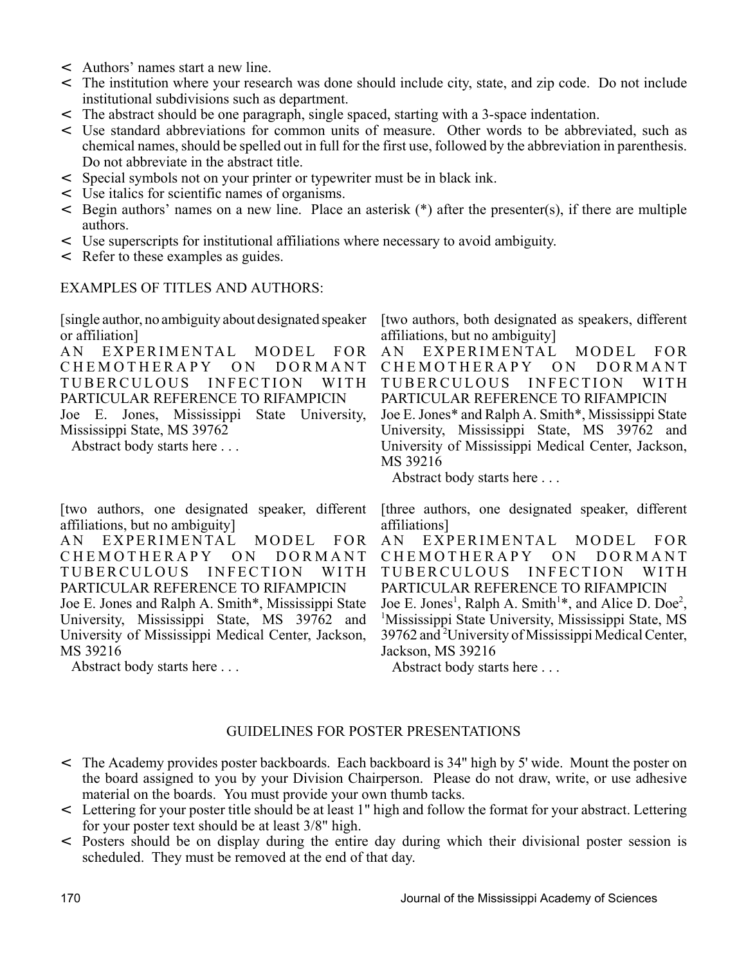- < Authors' names start a new line.
- < The institution where your research was done should include city, state, and zip code. Do not include institutional subdivisions such as department.
- < The abstract should be one paragraph, single spaced, starting with a 3-space indentation.
- < Use standard abbreviations for common units of measure. Other words to be abbreviated, such as chemical names, should be spelled out in full for the first use, followed by the abbreviation in parenthesis. Do not abbreviate in the abstract title.
- < Special symbols not on your printer or typewriter must be in black ink.
- < Use italics for scientific names of organisms.
- $\leq$  Begin authors' names on a new line. Place an asterisk  $(*)$  after the presenter(s), if there are multiple authors.
- < Use superscripts for institutional affiliations where necessary to avoid ambiguity.
- < Refer to these examples as guides.

## EXAMPLES OF TITLES AND AUTHORS:

[single author, no ambiguity about designated speaker or affiliation]

AN EXPERIMENTAL MODEL FOR CHEMOTHERAPY ON DORMANT TUBERCULOUS INFECTION WITH PARTICULAR REFERENCE TO RIFAMPICIN Joe E. Jones, Mississippi State University,

Mississippi State, MS 39762

AN EXPERIMENTAL MODEL FOR CHEMOTHERAPY ON DORMANT TUBERCULOUS INFECTION WITH PARTICULAR REFERENCE TO RIFAMPICIN Joe E. Jones and Ralph A. Smith\*, Mississippi State University, Mississippi State, MS 39762 and University of Mississippi Medical Center, Jackson,

Abstract body starts here . . .

affiliations, but no ambiguity]

[two authors, both designated as speakers, different affiliations, but no ambiguity]

AN EXPERIMENTAL MODEL FOR CHEMOTHERAPY ON DORMANT TUBERCULOUS INFECTION WITH PARTICULAR REFERENCE TO RIFAMPICIN

Joe E. Jones\* and Ralph A. Smith\*, Mississippi State University, Mississippi State, MS 39762 and University of Mississippi Medical Center, Jackson, MS 39216

Abstract body starts here . . .

[two authors, one designated speaker, different [three authors, one designated speaker, different affiliations]

> AN EXPERIMENTAL MODEL FOR CHEMOTHERAPY ON DORMANT TUBERCULOUS INFECTION WITH PARTICULAR REFERENCE TO RIFAMPICIN Joe E. Jones<sup>1</sup>, Ralph A. Smith<sup>1\*</sup>, and Alice D. Doe<sup>2</sup>, <sup>1</sup>Mississippi State University, Mississippi State, MS 39762 and<sup>2</sup> University of Mississippi Medical Center, Jackson, MS 39216

Abstract body starts here . . .

MS 39216

Abstract body starts here . . .

## GUIDELINES FOR POSTER PRESENTATIONS

- < The Academy provides poster backboards. Each backboard is 34" high by 5' wide. Mount the poster on the board assigned to you by your Division Chairperson. Please do not draw, write, or use adhesive material on the boards. You must provide your own thumb tacks.
- < Lettering for your poster title should be at least 1" high and follow the format for your abstract. Lettering for your poster text should be at least 3/8" high.
- < Posters should be on display during the entire day during which their divisional poster session is scheduled. They must be removed at the end of that day.